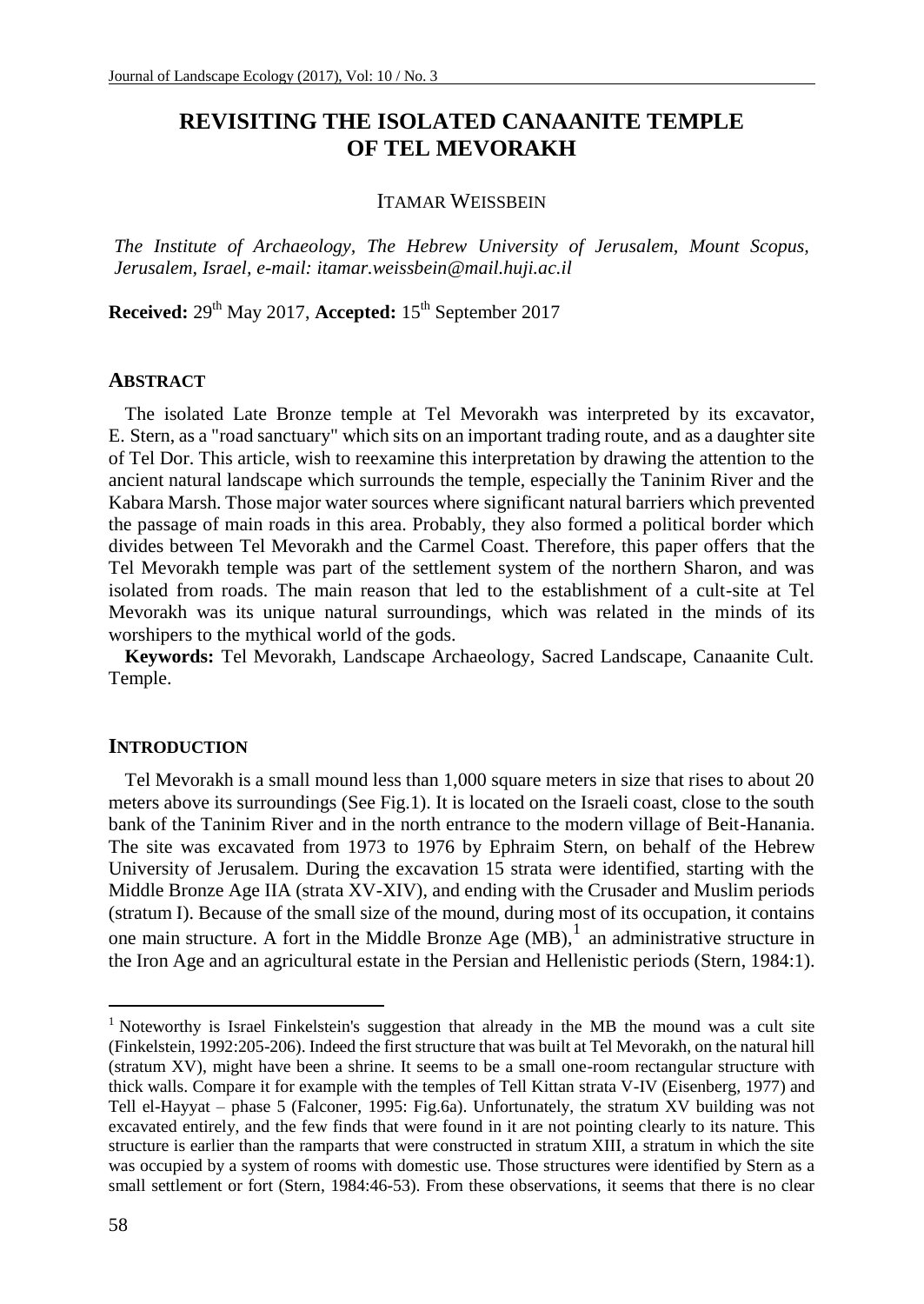# **REVISITING THE ISOLATED CANAANITE TEMPLE OF TEL MEVORAKH**

## ITAMAR WEISSBEIN

*The Institute of Archaeology, The Hebrew University of Jerusalem, Mount Scopus, Jerusalem, Israel, e-mail: itamar.weissbein@mail.huji.ac.il*

**Received:** 29th May 2017, **Accepted:** 15th September 2017

### **ABSTRACT**

The isolated Late Bronze temple at Tel Mevorakh was interpreted by its excavator, E. Stern, as a "road sanctuary" which sits on an important trading route, and as a daughter site of Tel Dor. This article, wish to reexamine this interpretation by drawing the attention to the ancient natural landscape which surrounds the temple, especially the Taninim River and the Kabara Marsh. Those major water sources where significant natural barriers which prevented the passage of main roads in this area. Probably, they also formed a political border which divides between Tel Mevorakh and the Carmel Coast. Therefore, this paper offers that the Tel Mevorakh temple was part of the settlement system of the northern Sharon, and was isolated from roads. The main reason that led to the establishment of a cult-site at Tel Mevorakh was its unique natural surroundings, which was related in the minds of its worshipers to the mythical world of the gods.

**Keywords:** Tel Mevorakh, Landscape Archaeology, Sacred Landscape, Canaanite Cult. Temple.

#### **INTRODUCTION**

Tel Mevorakh is a small mound less than 1,000 square meters in size that rises to about 20 meters above its surroundings (See Fig.1). It is located on the Israeli coast, close to the south bank of the Taninim River and in the north entrance to the modern village of Beit-Hanania. The site was excavated from 1973 to 1976 by Ephraim Stern, on behalf of the Hebrew University of Jerusalem. During the excavation 15 strata were identified, starting with the Middle Bronze Age IIA (strata XV-XIV), and ending with the Crusader and Muslim periods (stratum I). Because of the small size of the mound, during most of its occupation, it contains one main structure. A fort in the Middle Bronze Age  $(MB)$ , an administrative structure in the Iron Age and an agricultural estate in the Persian and Hellenistic periods (Stern, 1984:1).

<sup>&</sup>lt;sup>1</sup> Noteworthy is Israel Finkelstein's suggestion that already in the MB the mound was a cult site (Finkelstein, 1992:205-206). Indeed the first structure that was built at Tel Mevorakh, on the natural hill (stratum XV), might have been a shrine. It seems to be a small one-room rectangular structure with thick walls. Compare it for example with the temples of Tell Kittan strata V-IV (Eisenberg, 1977) and Tell el-Hayyat – phase 5 (Falconer, 1995: Fig.6a). Unfortunately, the stratum XV building was not excavated entirely, and the few finds that were found in it are not pointing clearly to its nature. This structure is earlier than the ramparts that were constructed in stratum XIII, a stratum in which the site was occupied by a system of rooms with domestic use. Those structures were identified by Stern as a small settlement or fort (Stern, 1984:46-53). From these observations, it seems that there is no clear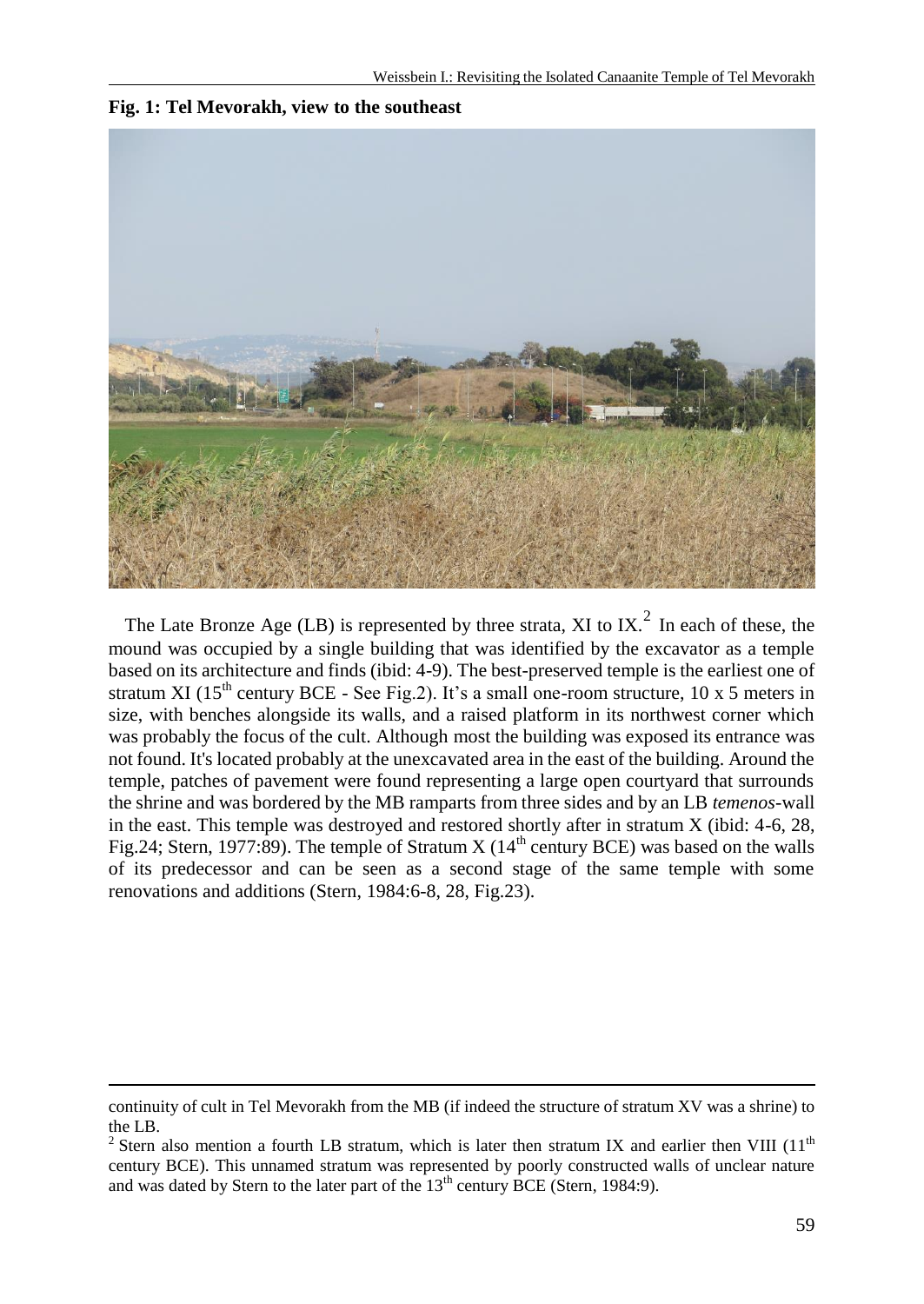

**Fig. 1: Tel Mevorakh, view to the southeast**

The Late Bronze Age (LB) is represented by three strata, XI to IX.<sup>2</sup> In each of these, the mound was occupied by a single building that was identified by the excavator as a temple based on its architecture and finds (ibid: 4-9). The best-preserved temple is the earliest one of stratum XI ( $15<sup>th</sup>$  century BCE - See Fig.2). It's a small one-room structure,  $10 \times 5$  meters in size, with benches alongside its walls, and a raised platform in its northwest corner which was probably the focus of the cult. Although most the building was exposed its entrance was not found. It's located probably at the unexcavated area in the east of the building. Around the temple, patches of pavement were found representing a large open courtyard that surrounds the shrine and was bordered by the MB ramparts from three sides and by an LB *temenos*-wall in the east. This temple was destroyed and restored shortly after in stratum X (ibid: 4-6, 28, Fig.24; Stern, 1977:89). The temple of Stratum X ( $14<sup>th</sup>$  century BCE) was based on the walls of its predecessor and can be seen as a second stage of the same temple with some renovations and additions (Stern, 1984:6-8, 28, Fig.23).

continuity of cult in Tel Mevorakh from the MB (if indeed the structure of stratum XV was a shrine) to the LB.

<sup>&</sup>lt;sup>2</sup> Stern also mention a fourth LB stratum, which is later then stratum IX and earlier then VIII (11<sup>th</sup> century BCE). This unnamed stratum was represented by poorly constructed walls of unclear nature and was dated by Stern to the later part of the  $13<sup>th</sup>$  century BCE (Stern, 1984:9).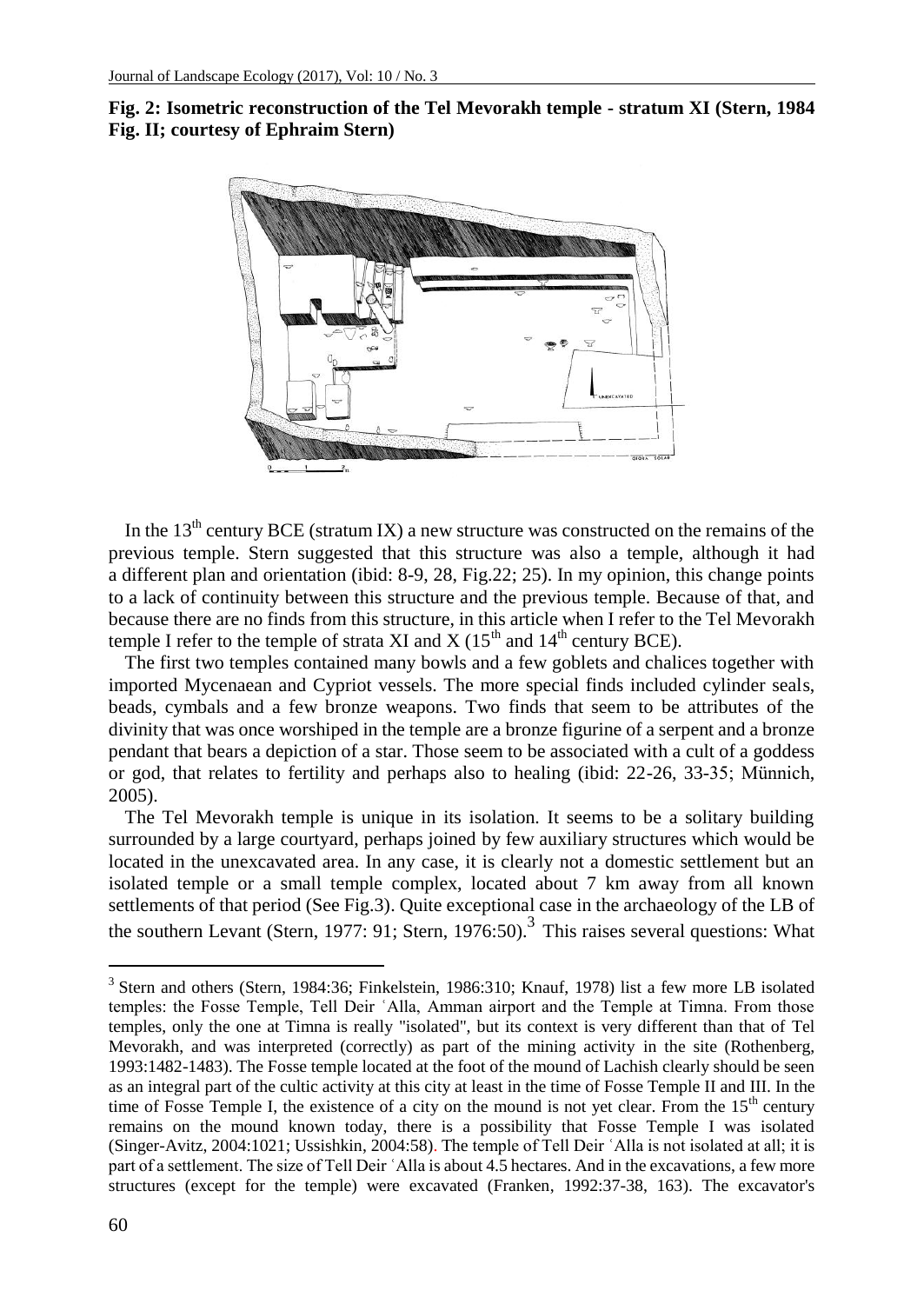



In the  $13<sup>th</sup>$  century BCE (stratum IX) a new structure was constructed on the remains of the previous temple. Stern suggested that this structure was also a temple, although it had a different plan and orientation (ibid: 8-9, 28, Fig.22; 25). In my opinion, this change points to a lack of continuity between this structure and the previous temple. Because of that, and because there are no finds from this structure, in this article when I refer to the Tel Mevorakh temple I refer to the temple of strata XI and  $X$  (15<sup>th</sup> and 14<sup>th</sup> century BCE).

The first two temples contained many bowls and a few goblets and chalices together with imported Mycenaean and Cypriot vessels. The more special finds included cylinder seals, beads, cymbals and a few bronze weapons. Two finds that seem to be attributes of the divinity that was once worshiped in the temple are a bronze figurine of a serpent and a bronze pendant that bears a depiction of a star. Those seem to be associated with a cult of a goddess or god, that relates to fertility and perhaps also to healing (ibid: 22-26, 33-35; Münnich, 2005).

The Tel Mevorakh temple is unique in its isolation. It seems to be a solitary building surrounded by a large courtyard, perhaps joined by few auxiliary structures which would be located in the unexcavated area. In any case, it is clearly not a domestic settlement but an isolated temple or a small temple complex, located about 7 km away from all known settlements of that period (See Fig.3). Quite exceptional case in the archaeology of the LB of the southern Levant (Stern, 1977: 91; Stern, 1976:50).<sup>3</sup> This raises several questions: What

<sup>&</sup>lt;sup>3</sup> Stern and others (Stern, 1984:36; Finkelstein, 1986:310; Knauf, 1978) list a few more LB isolated temples: the Fosse Temple, Tell Deir ʿAlla, Amman airport and the Temple at Timna. From those temples, only the one at Timna is really "isolated", but its context is very different than that of Tel Mevorakh, and was interpreted (correctly) as part of the mining activity in the site (Rothenberg, 1993:1482-1483). The Fosse temple located at the foot of the mound of Lachish clearly should be seen as an integral part of the cultic activity at this city at least in the time of Fosse Temple II and III. In the time of Fosse Temple I, the existence of a city on the mound is not yet clear. From the 15<sup>th</sup> century remains on the mound known today, there is a possibility that Fosse Temple I was isolated (Singer-Avitz, 2004:1021; Ussishkin, 2004:58). The temple of Tell Deir ʿAlla is not isolated at all; it is part of a settlement. The size of Tell Deir ʿAlla is about 4.5 hectares. And in the excavations, a few more structures (except for the temple) were excavated (Franken, 1992:37-38, 163). The excavator's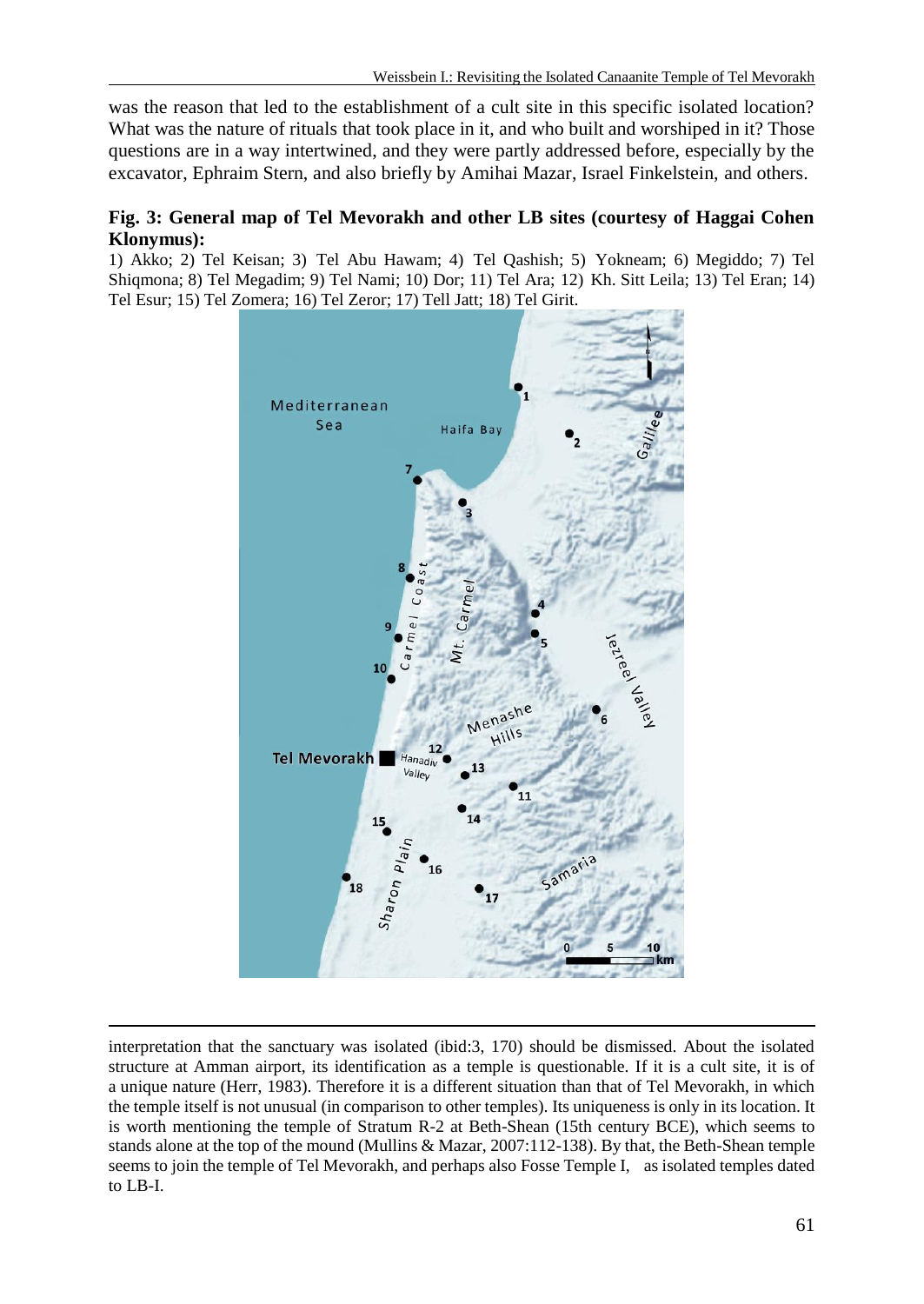was the reason that led to the establishment of a cult site in this specific isolated location? What was the nature of rituals that took place in it, and who built and worshiped in it? Those questions are in a way intertwined, and they were partly addressed before, especially by the excavator, Ephraim Stern, and also briefly by Amihai Mazar, Israel Finkelstein, and others.

# **Fig. 3: General map of Tel Mevorakh and other LB sites (courtesy of Haggai Cohen Klonymus):**

1) Akko; 2) Tel Keisan; 3) Tel Abu Hawam; 4) Tel Qashish; 5) Yokneam; 6) Megiddo; 7) Tel Shiqmona; 8) Tel Megadim; 9) Tel Nami; 10) Dor; 11) Tel Ara; 12) Kh. Sitt Leila; 13) Tel Eran; 14) Tel Esur; 15) Tel Zomera; 16) Tel Zeror; 17) Tell Jatt; 18) Tel Girit.



interpretation that the sanctuary was isolated (ibid:3, 170) should be dismissed. About the isolated structure at Amman airport, its identification as a temple is questionable. If it is a cult site, it is of a unique nature (Herr, 1983). Therefore it is a different situation than that of Tel Mevorakh, in which the temple itself is not unusual (in comparison to other temples). Its uniqueness is only in its location. It is worth mentioning the temple of Stratum R-2 at Beth-Shean (15th century BCE), which seems to stands alone at the top of the mound (Mullins & Mazar, 2007:112-138). By that, the Beth-Shean temple seems to join the temple of Tel Mevorakh, and perhaps also Fosse Temple I, as isolated temples dated to LB-I.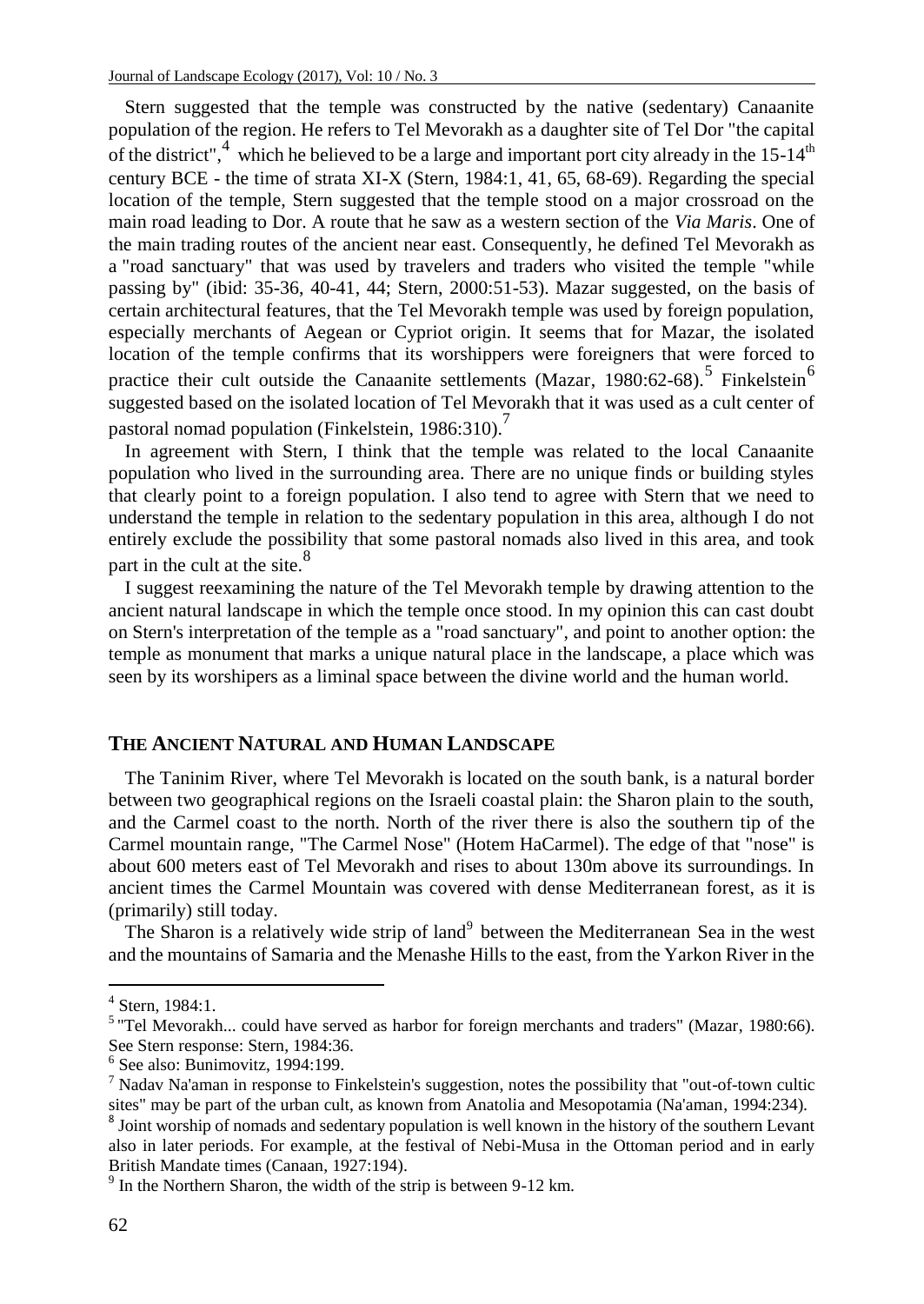Stern suggested that the temple was constructed by the native (sedentary) Canaanite population of the region. He refers to Tel Mevorakh as a daughter site of Tel Dor "the capital of the district",  $4$  which he believed to be a large and important port city already in the 15-14<sup>th</sup> century BCE - the time of strata XI-X (Stern, 1984:1, 41, 65, 68-69). Regarding the special location of the temple, Stern suggested that the temple stood on a major crossroad on the main road leading to Dor. A route that he saw as a western section of the *Via Maris*. One of the main trading routes of the ancient near east. Consequently, he defined Tel Mevorakh as a "road sanctuary" that was used by travelers and traders who visited the temple "while passing by" (ibid: 35-36, 40-41, 44; Stern, 2000:51-53). Mazar suggested, on the basis of certain architectural features, that the Tel Mevorakh temple was used by foreign population, especially merchants of Aegean or Cypriot origin. It seems that for Mazar, the isolated location of the temple confirms that its worshippers were foreigners that were forced to practice their cult outside the Canaanite settlements (Mazar, 1980:62-68).<sup>5</sup> Finkelstein<sup>6</sup> suggested based on the isolated location of Tel Mevorakh that it was used as a cult center of pastoral nomad population (Finkelstein, 1986:310).<sup>7</sup>

In agreement with Stern, I think that the temple was related to the local Canaanite population who lived in the surrounding area. There are no unique finds or building styles that clearly point to a foreign population. I also tend to agree with Stern that we need to understand the temple in relation to the sedentary population in this area, although I do not entirely exclude the possibility that some pastoral nomads also lived in this area, and took part in the cult at the site.<sup>8</sup>

I suggest reexamining the nature of the Tel Mevorakh temple by drawing attention to the ancient natural landscape in which the temple once stood. In my opinion this can cast doubt on Stern's interpretation of the temple as a "road sanctuary", and point to another option: the temple as monument that marks a unique natural place in the landscape, a place which was seen by its worshipers as a liminal space between the divine world and the human world.

#### **THE ANCIENT NATURAL AND HUMAN LANDSCAPE**

The Taninim River, where Tel Mevorakh is located on the south bank, is a natural border between two geographical regions on the Israeli coastal plain: the Sharon plain to the south, and the Carmel coast to the north. North of the river there is also the southern tip of the Carmel mountain range, "The Carmel Nose" (Hotem HaCarmel). The edge of that "nose" is about 600 meters east of Tel Mevorakh and rises to about 130m above its surroundings. In ancient times the Carmel Mountain was covered with dense Mediterranean forest, as it is (primarily) still today.

The Sharon is a relatively wide strip of land<sup>9</sup> between the Mediterranean Sea in the west and the mountains of Samaria and the Menashe Hills to the east, from the Yarkon River in the

<sup>4</sup> Stern, 1984:1.

<sup>&</sup>lt;sup>5</sup> "Tel Mevorakh... could have served as harbor for foreign merchants and traders" (Mazar, 1980:66). See Stern response: Stern, 1984:36.

<sup>6</sup> See also: Bunimovitz, 1994:199.

<sup>7</sup> Nadav Na'aman in response to Finkelstein's suggestion, notes the possibility that "out-of-town cultic sites" may be part of the urban cult, as known from Anatolia and Mesopotamia (Na'aman, 1994:234).

 $8$  Joint worship of nomads and sedentary population is well known in the history of the southern Levant also in later periods. For example, at the festival of Nebi-Musa in the Ottoman period and in early British Mandate times (Canaan, 1927:194).

<sup>&</sup>lt;sup>9</sup> In the Northern Sharon, the width of the strip is between 9-12 km.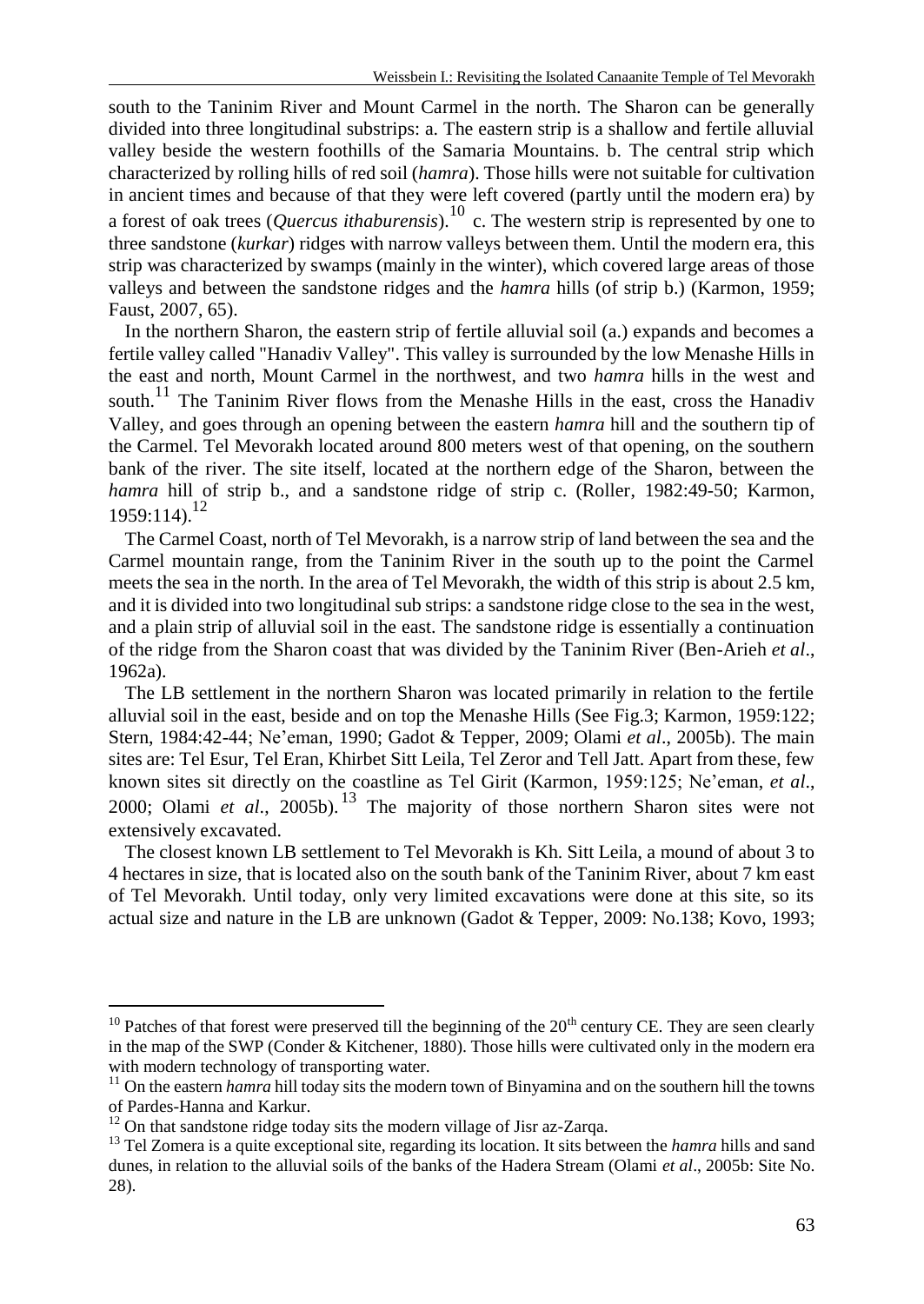south to the Taninim River and Mount Carmel in the north. The Sharon can be generally divided into three longitudinal substrips: a. The eastern strip is a shallow and fertile alluvial valley beside the western foothills of the Samaria Mountains. b. The central strip which characterized by rolling hills of red soil (*hamra*). Those hills were not suitable for cultivation in ancient times and because of that they were left covered (partly until the modern era) by a forest of oak trees (*Quercus ithaburensis*).<sup>10</sup> c. The western strip is represented by one to three sandstone (*kurkar*) ridges with narrow valleys between them. Until the modern era, this strip was characterized by swamps (mainly in the winter), which covered large areas of those valleys and between the sandstone ridges and the *hamra* hills (of strip b.) (Karmon, 1959; Faust, 2007, 65).

In the northern Sharon, the eastern strip of fertile alluvial soil (a.) expands and becomes a fertile valley called "Hanadiv Valley". This valley is surrounded by the low Menashe Hills in the east and north, Mount Carmel in the northwest, and two *hamra* hills in the west and south.<sup>11</sup> The Taninim River flows from the Menashe Hills in the east, cross the Hanadiv Valley, and goes through an opening between the eastern *hamra* hill and the southern tip of the Carmel. Tel Mevorakh located around 800 meters west of that opening, on the southern bank of the river. The site itself, located at the northern edge of the Sharon, between the *hamra* hill of strip b., and a sandstone ridge of strip c. (Roller, 1982:49-50; Karmon,  $1959:114$ <sup>12</sup>

The Carmel Coast, north of Tel Mevorakh, is a narrow strip of land between the sea and the Carmel mountain range, from the Taninim River in the south up to the point the Carmel meets the sea in the north. In the area of Tel Mevorakh, the width of this strip is about 2.5 km, and it is divided into two longitudinal sub strips: a sandstone ridge close to the sea in the west, and a plain strip of alluvial soil in the east. The sandstone ridge is essentially a continuation of the ridge from the Sharon coast that was divided by the Taninim River (Ben-Arieh *et al*., 1962a).

The LB settlement in the northern Sharon was located primarily in relation to the fertile alluvial soil in the east, beside and on top the Menashe Hills (See Fig.3; Karmon, 1959:122; Stern, 1984:42-44; Ne'eman, 1990; Gadot & Tepper, 2009; Olami *et al*., 2005b). The main sites are: Tel Esur, Tel Eran, Khirbet Sitt Leila, Tel Zeror and Tell Jatt. Apart from these, few known sites sit directly on the coastline as Tel Girit (Karmon, 1959:125; Ne'eman, *et al*., 2000; Olami *et al*., 2005b). <sup>13</sup> The majority of those northern Sharon sites were not extensively excavated.

The closest known LB settlement to Tel Mevorakh is Kh. Sitt Leila, a mound of about 3 to 4 hectares in size, that is located also on the south bank of the Taninim River, about 7 km east of Tel Mevorakh. Until today, only very limited excavations were done at this site, so its actual size and nature in the LB are unknown (Gadot & Tepper, 2009: No.138; Kovo, 1993;

 $10$  Patches of that forest were preserved till the beginning of the  $20<sup>th</sup>$  century CE. They are seen clearly in the map of the SWP (Conder & Kitchener, 1880). Those hills were cultivated only in the modern era with modern technology of transporting water.

<sup>&</sup>lt;sup>11</sup> On the eastern *hamra* hill today sits the modern town of Binyamina and on the southern hill the towns of Pardes-Hanna and Karkur.

<sup>&</sup>lt;sup>12</sup> On that sandstone ridge today sits the modern village of Jisr az-Zarqa.

<sup>&</sup>lt;sup>13</sup> Tel Zomera is a quite exceptional site, regarding its location. It sits between the *hamra* hills and sand dunes, in relation to the alluvial soils of the banks of the Hadera Stream (Olami *et al*., 2005b: Site No. 28).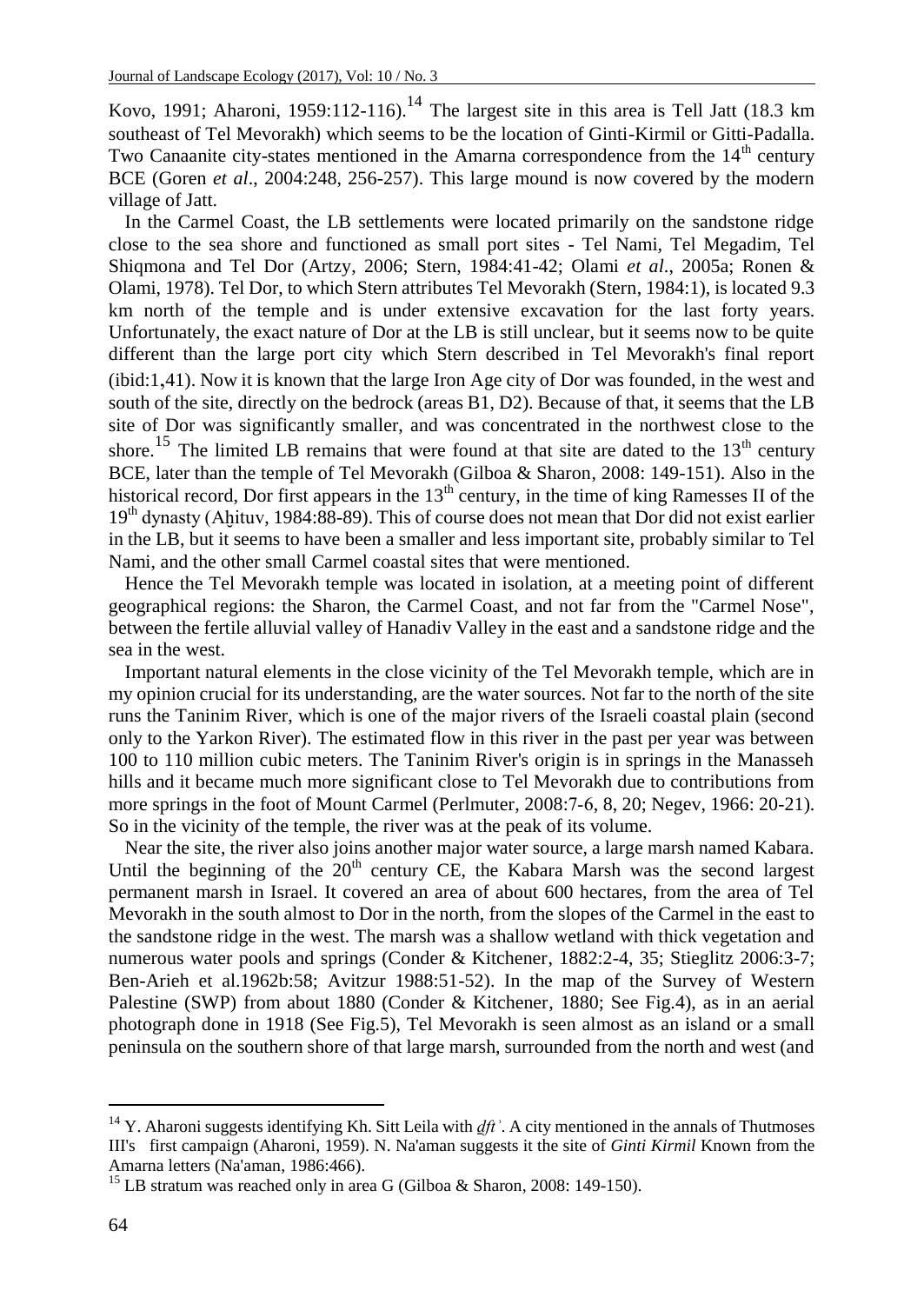Kovo, 1991; Aharoni, 1959:112-116).<sup>14</sup> The largest site in this area is Tell Jatt (18.3 km southeast of Tel Mevorakh) which seems to be the location of Ginti-Kirmil or Gitti-Padalla. Two Canaanite city-states mentioned in the Amarna correspondence from the  $14<sup>th</sup>$  century BCE (Goren *et al*., 2004:248, 256-257). This large mound is now covered by the modern village of Jatt.

In the Carmel Coast, the LB settlements were located primarily on the sandstone ridge close to the sea shore and functioned as small port sites - Tel Nami, Tel Megadim, Tel Shiqmona and Tel Dor (Artzy, 2006; Stern, 1984:41-42; Olami *et al*., 2005a; Ronen & Olami, 1978). Tel Dor, to which Stern attributes Tel Mevorakh (Stern, 1984:1), is located 9.3 km north of the temple and is under extensive excavation for the last forty years. Unfortunately, the exact nature of Dor at the LB is still unclear, but it seems now to be quite different than the large port city which Stern described in Tel Mevorakh's final report (ibid:1,41). Now it is known that the large Iron Age city of Dor was founded, in the west and south of the site, directly on the bedrock (areas B1, D2). Because of that, it seems that the LB site of Dor was significantly smaller, and was concentrated in the northwest close to the shore.<sup>15</sup> The limited LB remains that were found at that site are dated to the  $13<sup>th</sup>$  century BCE, later than the temple of Tel Mevorakh (Gilboa & Sharon, 2008: 149-151). Also in the historical record. Dor first appears in the  $13<sup>th</sup>$  century, in the time of king Ramesses II of the 19th dynasty (Aḫituv, 1984:88-89). This of course does not mean that Dor did not exist earlier in the LB, but it seems to have been a smaller and less important site, probably similar to Tel Nami, and the other small Carmel coastal sites that were mentioned.

Hence the Tel Mevorakh temple was located in isolation, at a meeting point of different geographical regions: the Sharon, the Carmel Coast, and not far from the "Carmel Nose", between the fertile alluvial valley of Hanadiv Valley in the east and a sandstone ridge and the sea in the west.

Important natural elements in the close vicinity of the Tel Mevorakh temple, which are in my opinion crucial for its understanding, are the water sources. Not far to the north of the site runs the Taninim River, which is one of the major rivers of the Israeli coastal plain (second only to the Yarkon River). The estimated flow in this river in the past per year was between 100 to 110 million cubic meters. The Taninim River's origin is in springs in the Manasseh hills and it became much more significant close to Tel Mevorakh due to contributions from more springs in the foot of Mount Carmel (Perlmuter, 2008:7-6, 8, 20; Negev, 1966: 20-21). So in the vicinity of the temple, the river was at the peak of its volume.

Near the site, the river also joins another major water source, a large marsh named Kabara. Until the beginning of the  $20<sup>th</sup>$  century CE, the Kabara Marsh was the second largest permanent marsh in Israel. It covered an area of about 600 hectares, from the area of Tel Mevorakh in the south almost to Dor in the north, from the slopes of the Carmel in the east to the sandstone ridge in the west. The marsh was a shallow wetland with thick vegetation and numerous water pools and springs (Conder & Kitchener, 1882:2-4, 35; Stieglitz 2006:3-7; Ben-Arieh et al.1962b:58; Avitzur 1988:51-52). In the map of the Survey of Western Palestine (SWP) from about 1880 (Conder & Kitchener, 1880; See Fig.4), as in an aerial photograph done in 1918 (See Fig.5), Tel Mevorakh is seen almost as an island or a small peninsula on the southern shore of that large marsh, surrounded from the north and west (and

<sup>&</sup>lt;sup>14</sup> Y. Aharoni suggests identifying Kh. Sitt Leila with  $dft'$ . A city mentioned in the annals of Thutmoses III's first campaign (Aharoni, 1959). N. Na'aman suggests it the site of *Ginti Kirmil* Known from the Amarna letters (Na'aman, 1986:466).

<sup>&</sup>lt;sup>15</sup> LB stratum was reached only in area G (Gilboa & Sharon, 2008: 149-150).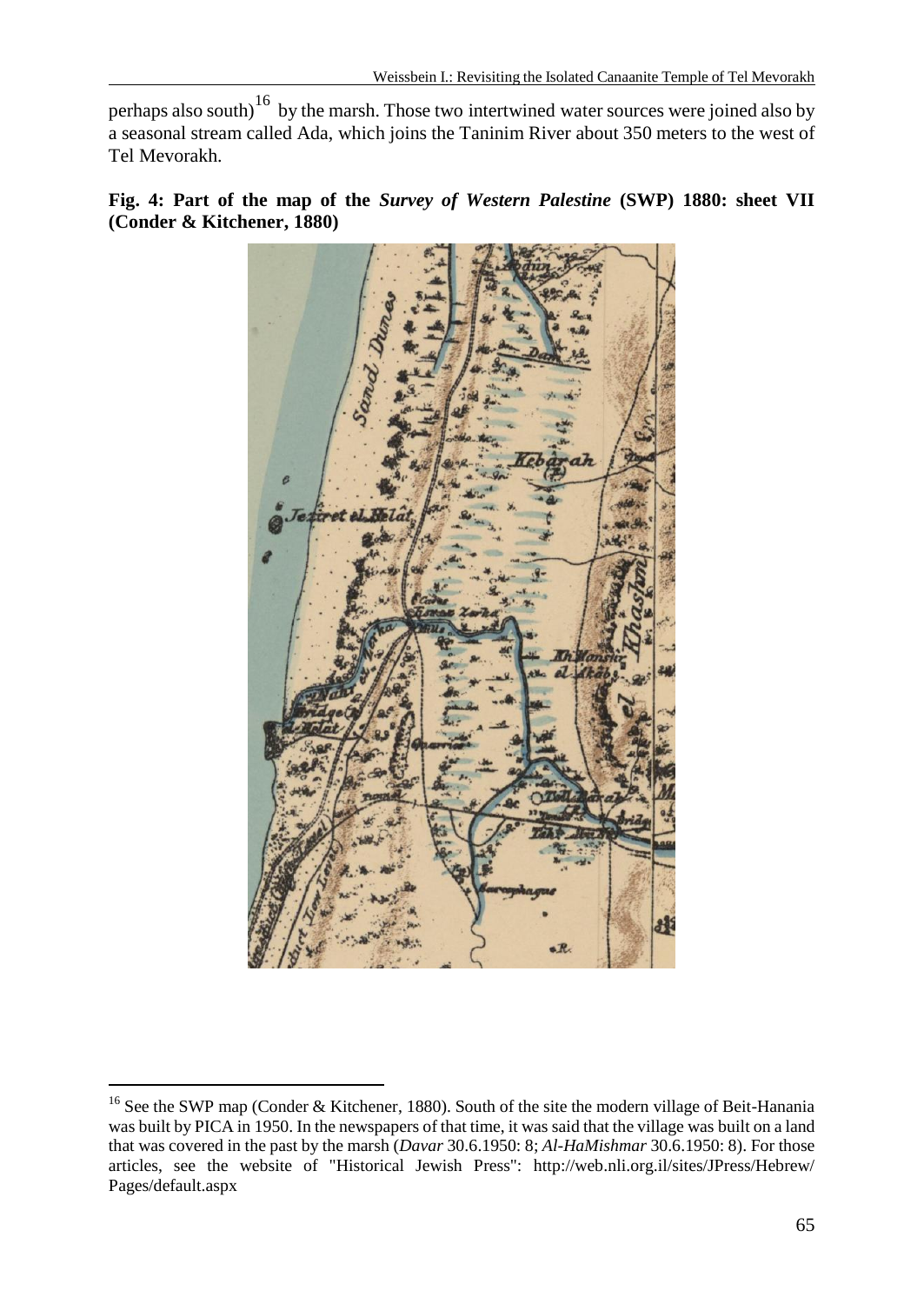perhaps also south)<sup>16</sup> by the marsh. Those two intertwined water sources were joined also by a seasonal stream called Ada, which joins the Taninim River about 350 meters to the west of Tel Mevorakh.

**Fig. 4: Part of the map of the** *Survey of Western Palestine* **(SWP) 1880: sheet VII (Conder & Kitchener, 1880)**



 $\overline{a}$ <sup>16</sup> See the SWP map (Conder & Kitchener, 1880). South of the site the modern village of Beit-Hanania was built by PICA in 1950. In the newspapers of that time, it was said that the village was built on a land that was covered in the past by the marsh (*Davar* 30.6.1950: 8; *Al-HaMishmar* 30.6.1950: 8). For those articles, see the website of "Historical Jewish Press": http://web.nli.org.il/sites/JPress/Hebrew/ Pages/default.aspx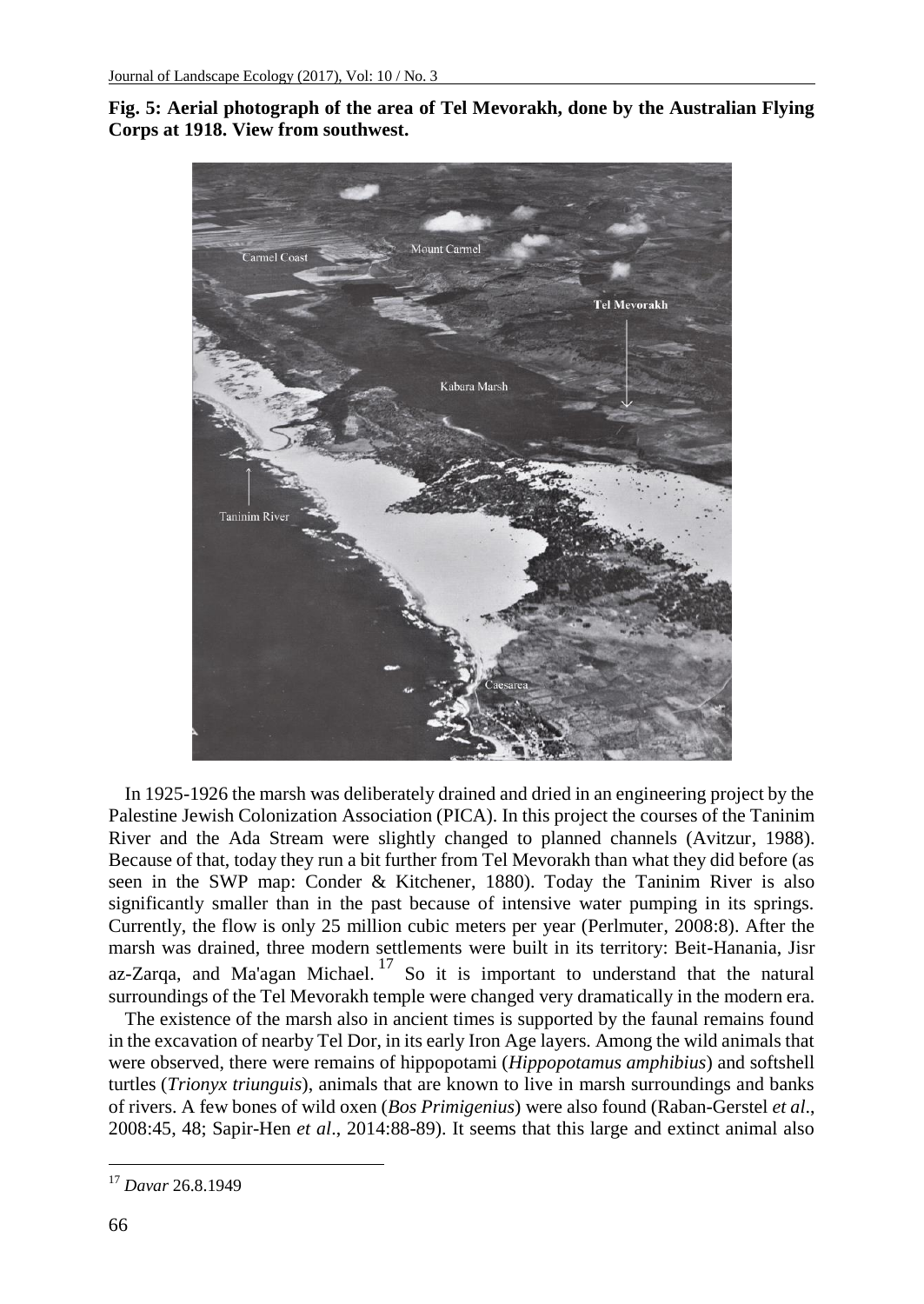



In 1925-1926 the marsh was deliberately drained and dried in an engineering project by the Palestine Jewish Colonization Association (PICA). In this project the courses of the Taninim River and the Ada Stream were slightly changed to planned channels (Avitzur, 1988). Because of that, today they run a bit further from Tel Mevorakh than what they did before (as seen in the SWP map: Conder & Kitchener, 1880). Today the Taninim River is also significantly smaller than in the past because of intensive water pumping in its springs. Currently, the flow is only 25 million cubic meters per year (Perlmuter, 2008:8). After the marsh was drained, three modern settlements were built in its territory: Beit-Hanania, [Jisr](https://en.wikipedia.org/wiki/Jisr_az-Zarqa)  [az-Zarqa,](https://en.wikipedia.org/wiki/Jisr_az-Zarqa) and Ma'agan Michael.<sup>17</sup> So it is important to understand that the natural surroundings of the Tel Mevorakh temple were changed very dramatically in the modern era.

The existence of the marsh also in ancient times is supported by the faunal remains found in the excavation of nearby Tel Dor, in its early Iron Age layers. Among the wild animals that were observed, there were remains of hippopotami (*Hippopotamus amphibius*) and softshell turtles (*Trionyx triunguis*), animals that are known to live in marsh surroundings and banks of rivers. A few bones of wild oxen (*Bos Primigenius*) were also found (Raban-Gerstel *et al*., 2008:45, 48; Sapir-Hen *et al*., 2014:88-89). It seems that this large and extinct animal also

<sup>17</sup> *Davar* 26.8.1949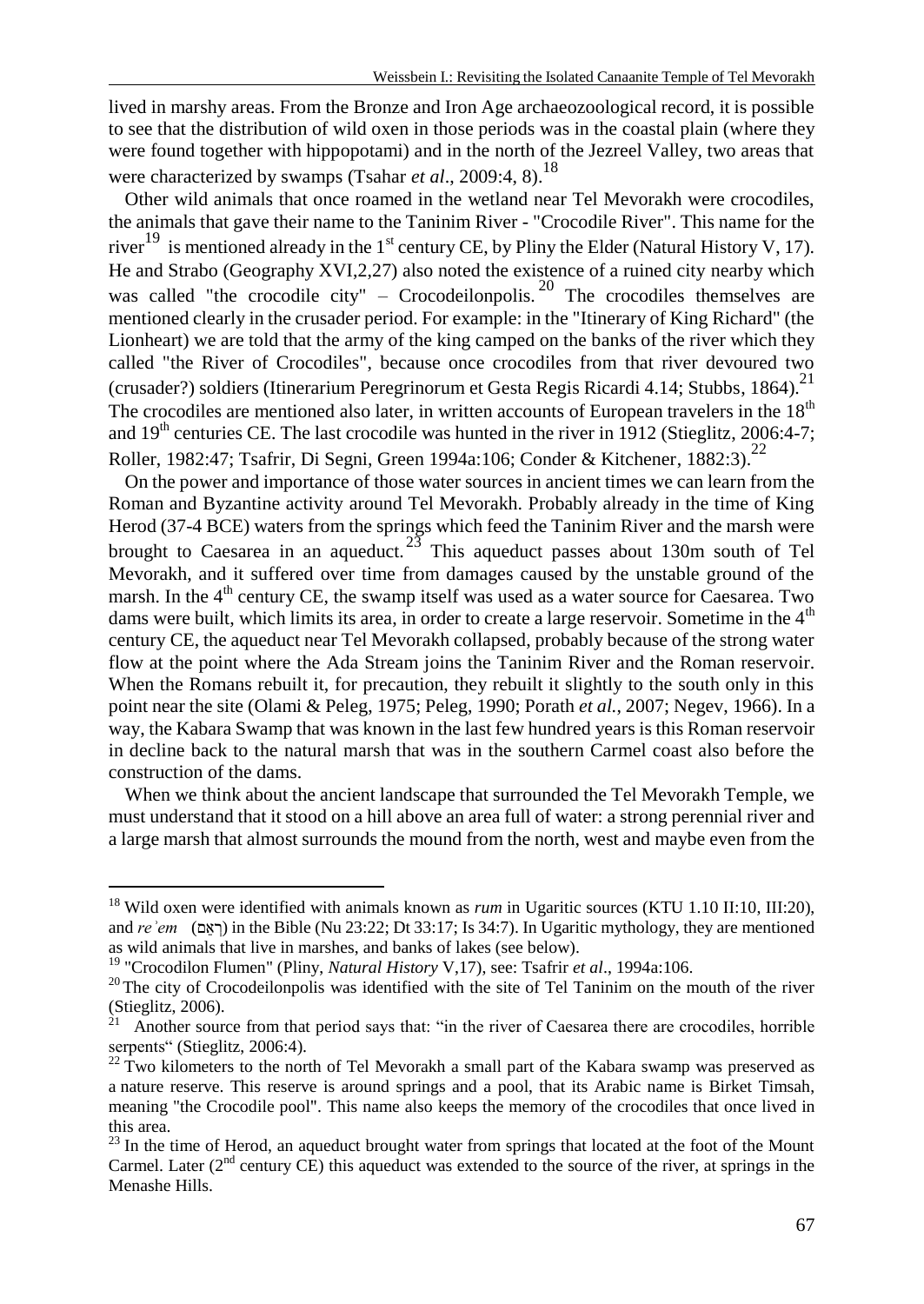lived in marshy areas. From the Bronze and Iron Age archaeozoological record, it is possible to see that the distribution of wild oxen in those periods was in the coastal plain (where they were found together with hippopotami) and in the north of the Jezreel Valley, two areas that were characterized by swamps (Tsahar *et al.*, 2009:4, 8).<sup>18</sup>

Other wild animals that once roamed in the wetland near Tel Mevorakh were crocodiles, the animals that gave their name to the Taninim River - "Crocodile River". This name for the river<sup>19</sup> is mentioned already in the 1<sup>st</sup> century CE, by Pliny the Elder (Natural History V, 17). He and Strabo (Geography XVI,2,27) also noted the existence of a ruined city nearby which was called "the crocodile city" – Crocodeilonpolis.<sup>20</sup> The crocodiles themselves are mentioned clearly in the crusader period. For example: in the "Itinerary of King Richard" (the Lionheart) we are told that the army of the king camped on the banks of the river which they called "the River of Crocodiles", because once crocodiles from that river devoured two (crusader?) soldiers (Itinerarium Peregrinorum et Gesta Regis Ricardi 4.14; Stubbs, 1864).<sup>21</sup> The crocodiles are mentioned also later, in written accounts of European travelers in the  $18<sup>th</sup>$ and  $19<sup>th</sup>$  centuries CE. The last crocodile was hunted in the river in 1912 (Stieglitz, 2006:4-7; Roller, 1982:47; Tsafrir, Di Segni, Green 1994a:106; Conder & Kitchener, 1882:3).<sup>22</sup>

On the power and importance of those water sources in ancient times we can learn from the Roman and Byzantine activity around Tel Mevorakh. Probably already in the time of King Herod (37-4 BCE) waters from the springs which feed the Taninim River and the marsh were brought to Caesarea in an aqueduct.<sup>23</sup> This aqueduct passes about 130m south of Tel Mevorakh, and it suffered over time from damages caused by the unstable ground of the marsh. In the 4<sup>th</sup> century CE, the swamp itself was used as a water source for Caesarea. Two dams were built, which limits its area, in order to create a large reservoir. Sometime in the  $4<sup>th</sup>$ century CE, the aqueduct near Tel Mevorakh collapsed, probably because of the strong water flow at the point where the Ada Stream joins the Taninim River and the Roman reservoir. When the Romans rebuilt it, for precaution, they rebuilt it slightly to the south only in this point near the site (Olami & Peleg, 1975; Peleg, 1990; Porath *et al.*, 2007; Negev, 1966). In a way, the Kabara Swamp that was known in the last few hundred years is this Roman reservoir in decline back to the natural marsh that was in the southern Carmel coast also before the construction of the dams.

When we think about the ancient landscape that surrounded the Tel Mevorakh Temple, we must understand that it stood on a hill above an area full of water: a strong perennial river and a large marsh that almost surrounds the mound from the north, west and maybe even from the

<sup>&</sup>lt;sup>18</sup> Wild oxen were identified with animals known as *rum* in Ugaritic sources (KTU 1.10 II:10, III:20), and *re*<sup> $\dot{e}$ em (ראם) in the Bible (Nu 23:22; Dt 33:17; Is 34:7). In Ugaritic mythology, they are mentioned</sup> as wild animals that live in marshes, and banks of lakes (see below).

<sup>19</sup> "Crocodilon Flumen" (Pliny, *Natural History* V,17), see: Tsafrir *et al*., 1994a:106.

 $20$  The city of Crocodeilonpolis was identified with the site of Tel Taninim on the mouth of the river (Stieglitz, 2006).<br><sup>21</sup> Another source from that period says that: "in the river of Caesarea there are crocodiles, horrible

serpents" (Stieglitz, 2006:4).

 $22$  Two kilometers to the north of Tel Mevorakh a small part of the Kabara swamp was preserved as a nature reserve. This reserve is around springs and a pool, that its Arabic name is Birket Timsah, meaning "the Crocodile pool". This name also keeps the memory of the crocodiles that once lived in this area.

 $23$  In the time of Herod, an aqueduct brought water from springs that located at the foot of the Mount Carmel. Later (2<sup>nd</sup> century CE) this aqueduct was extended to the source of the river, at springs in the Menashe Hills.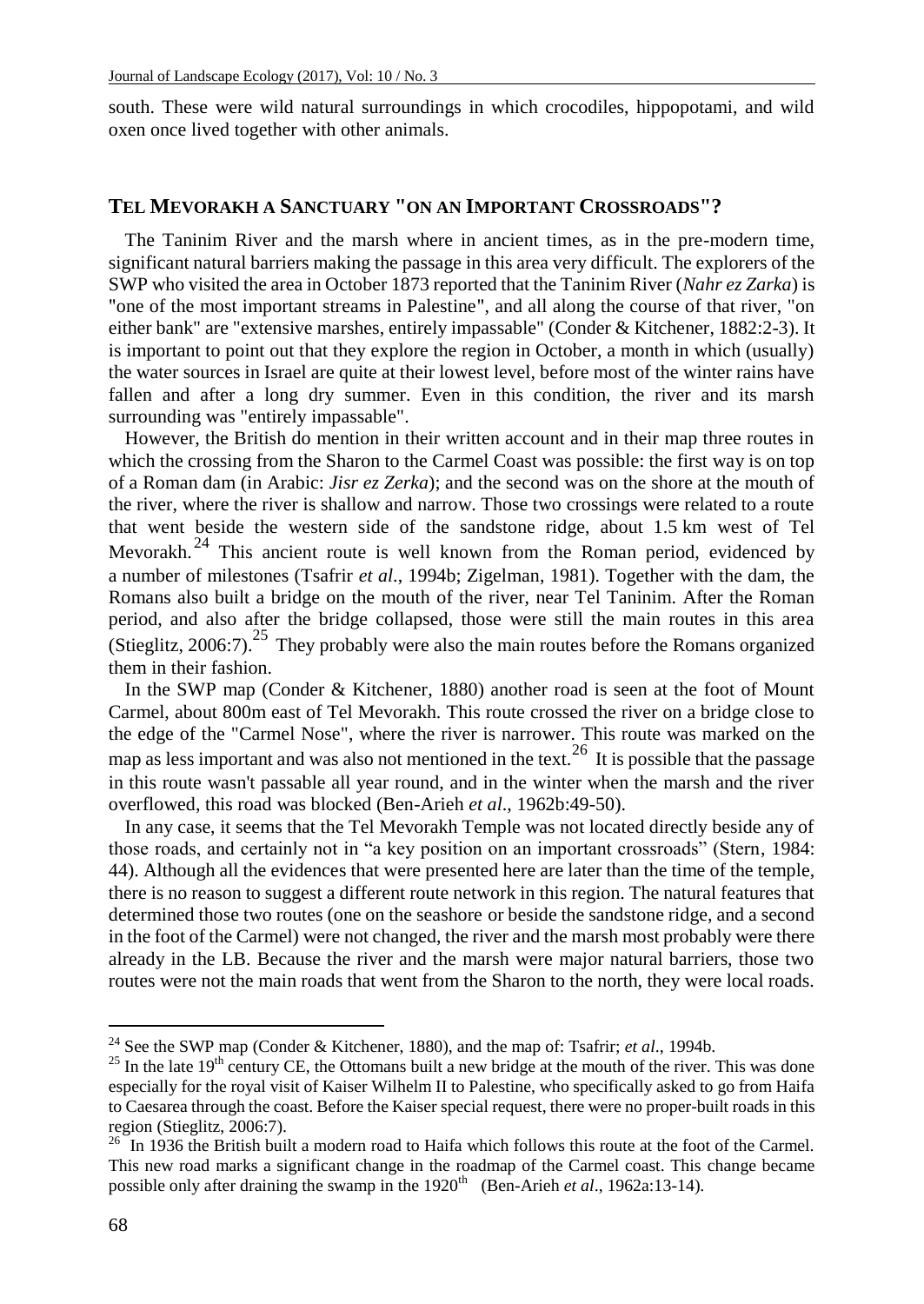south. These were wild natural surroundings in which crocodiles, hippopotami, and wild oxen once lived together with other animals.

## **TEL MEVORAKH A SANCTUARY "ON AN IMPORTANT CROSSROADS"?**

The Taninim River and the marsh where in ancient times, as in the pre-modern time, significant natural barriers making the passage in this area very difficult. The explorers of the SWP who visited the area in October 1873 reported that the Taninim River (*Nahr ez Zarka*) is "one of the most important streams in Palestine", and all along the course of that river, "on either bank" are "extensive marshes, entirely impassable" (Conder & Kitchener, 1882:2-3). It is important to point out that they explore the region in October, a month in which (usually) the water sources in Israel are quite at their lowest level, before most of the winter rains have fallen and after a long dry summer. Even in this condition, the river and its marsh surrounding was "entirely impassable".

However, the British do mention in their written account and in their map three routes in which the crossing from the Sharon to the Carmel Coast was possible: the first way is on top of a Roman dam (in Arabic: *Jisr ez Zerka*); and the second was on the shore at the mouth of the river, where the river is shallow and narrow. Those two crossings were related to a route that went beside the western side of the sandstone ridge, about 1.5 km west of Tel Mevorakh. <sup>24</sup> This ancient route is well known from the Roman period, evidenced by a number of milestones (Tsafrir *et al*., 1994b; Zigelman, 1981). Together with the dam, the Romans also built a bridge on the mouth of the river, near Tel Taninim. After the Roman period, and also after the bridge collapsed, those were still the main routes in this area (Stieglitz, 2006:7).<sup>25</sup> They probably were also the main routes before the Romans organized them in their fashion.

In the SWP map (Conder & Kitchener, 1880) another road is seen at the foot of Mount Carmel, about 800m east of Tel Mevorakh. This route crossed the river on a bridge close to the edge of the "Carmel Nose", where the river is narrower. This route was marked on the map as less important and was also not mentioned in the text.<sup>26</sup> It is possible that the passage in this route wasn't passable all year round, and in the winter when the marsh and the river overflowed, this road was blocked (Ben-Arieh *et al*., 1962b:49-50).

In any case, it seems that the Tel Mevorakh Temple was not located directly beside any of those roads, and certainly not in "a key position on an important crossroads" (Stern, 1984: 44). Although all the evidences that were presented here are later than the time of the temple, there is no reason to suggest a different route network in this region. The natural features that determined those two routes (one on the seashore or beside the sandstone ridge, and a second in the foot of the Carmel) were not changed, the river and the marsh most probably were there already in the LB. Because the river and the marsh were major natural barriers, those two routes were not the main roads that went from the Sharon to the north, they were local roads.

<sup>24</sup> See the SWP map (Conder & Kitchener, 1880), and the map of: Tsafrir; *et al*., 1994b.

<sup>&</sup>lt;sup>25</sup> In the late 19<sup>th</sup> century CE, the Ottomans built a new bridge at the mouth of the river. This was done especially for the royal visit of Kaiser Wilhelm II to Palestine, who specifically asked to go from Haifa to Caesarea through the coast. Before the Kaiser special request, there were no proper-built roads in this region (Stieglitz, 2006:7).

<sup>&</sup>lt;sup>26</sup> In 1936 the British built a modern road to Haifa which follows this route at the foot of the Carmel. This new road marks a significant change in the roadmap of the Carmel coast. This change became possible only after draining the swamp in the 1920<sup>th</sup> (Ben-Arieh *et al.*, 1962a:13-14).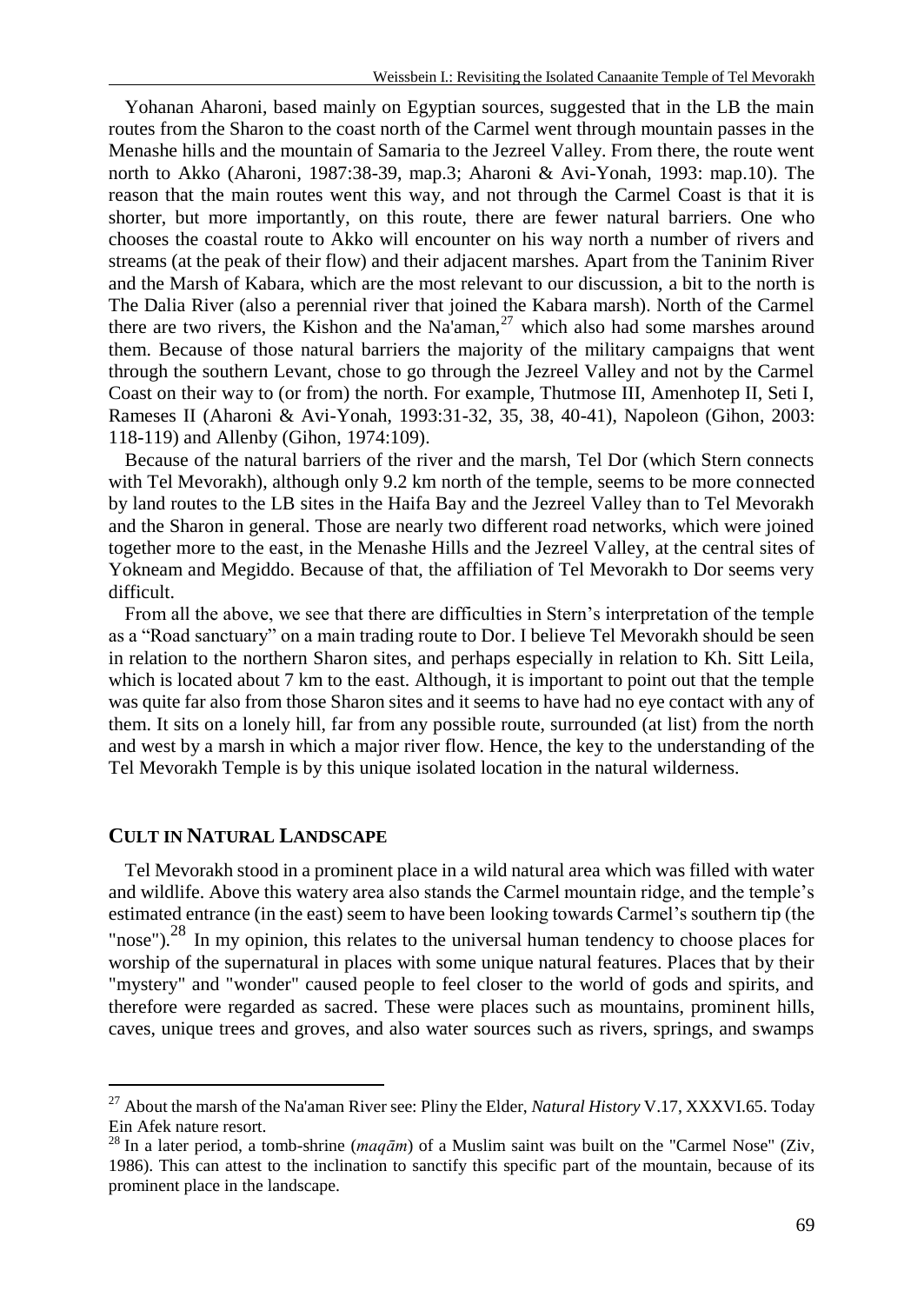Yohanan Aharoni, based mainly on Egyptian sources, suggested that in the LB the main routes from the Sharon to the coast north of the Carmel went through mountain passes in the Menashe hills and the mountain of Samaria to the Jezreel Valley. From there, the route went north to Akko (Aharoni, 1987:38-39, map.3; Aharoni & Avi-Yonah, 1993: map.10). The reason that the main routes went this way, and not through the Carmel Coast is that it is shorter, but more importantly, on this route, there are fewer natural barriers. One who chooses the coastal route to Akko will encounter on his way north a number of rivers and streams (at the peak of their flow) and their adjacent marshes. Apart from the Taninim River and the Marsh of Kabara, which are the most relevant to our discussion, a bit to the north is The Dalia River (also a perennial river that joined the Kabara marsh). North of the Carmel there are two rivers, the Kishon and the Na'aman,  $27$  which also had some marshes around them. Because of those natural barriers the majority of the military campaigns that went through the southern Levant, chose to go through the Jezreel Valley and not by the Carmel Coast on their way to (or from) the north. For example, Thutmose III, Amenhotep II, Seti I, Rameses II (Aharoni & Avi-Yonah, 1993:31-32, 35, 38, 40-41), Napoleon (Gihon, 2003: 118-119) and Allenby (Gihon, 1974:109).

Because of the natural barriers of the river and the marsh, Tel Dor (which Stern connects with Tel Mevorakh), although only 9.2 km north of the temple, seems to be more connected by land routes to the LB sites in the Haifa Bay and the Jezreel Valley than to Tel Mevorakh and the Sharon in general. Those are nearly two different road networks, which were joined together more to the east, in the Menashe Hills and the Jezreel Valley, at the central sites of Yokneam and Megiddo. Because of that, the affiliation of Tel Mevorakh to Dor seems very difficult.

From all the above, we see that there are difficulties in Stern's interpretation of the temple as a "Road sanctuary" on a main trading route to Dor. I believe Tel Mevorakh should be seen in relation to the northern Sharon sites, and perhaps especially in relation to Kh. Sitt Leila, which is located about 7 km to the east. Although, it is important to point out that the temple was quite far also from those Sharon sites and it seems to have had no eye contact with any of them. It sits on a lonely hill, far from any possible route, surrounded (at list) from the north and west by a marsh in which a major river flow. Hence, the key to the understanding of the Tel Mevorakh Temple is by this unique isolated location in the natural wilderness.

#### **CULT IN NATURAL LANDSCAPE**

 $\overline{a}$ 

Tel Mevorakh stood in a prominent place in a wild natural area which was filled with water and wildlife. Above this watery area also stands the Carmel mountain ridge, and the temple's estimated entrance (in the east) seem to have been looking towards Carmel's southern tip (the "nose").<sup>28</sup> In my opinion, this relates to the universal human tendency to choose places for worship of the supernatural in places with some unique natural features. Places that by their "mystery" and "wonder" caused people to feel closer to the world of gods and spirits, and therefore were regarded as sacred. These were places such as mountains, prominent hills, caves, unique trees and groves, and also water sources such as rivers, springs, and swamps

<sup>27</sup> About the marsh of the Na'aman River see: Pliny the Elder, *Natural History* V.17, XXXVI.65. Today Ein Afek nature resort.

<sup>28</sup> In a later period, a tomb-shrine (*[maqām](https://en.wikipedia.org/wiki/Mazar_(mausoleum))*) of a Muslim saint was built on the "Carmel Nose" (Ziv, 1986). This can attest to the inclination to sanctify this specific part of the mountain, because of its prominent place in the landscape.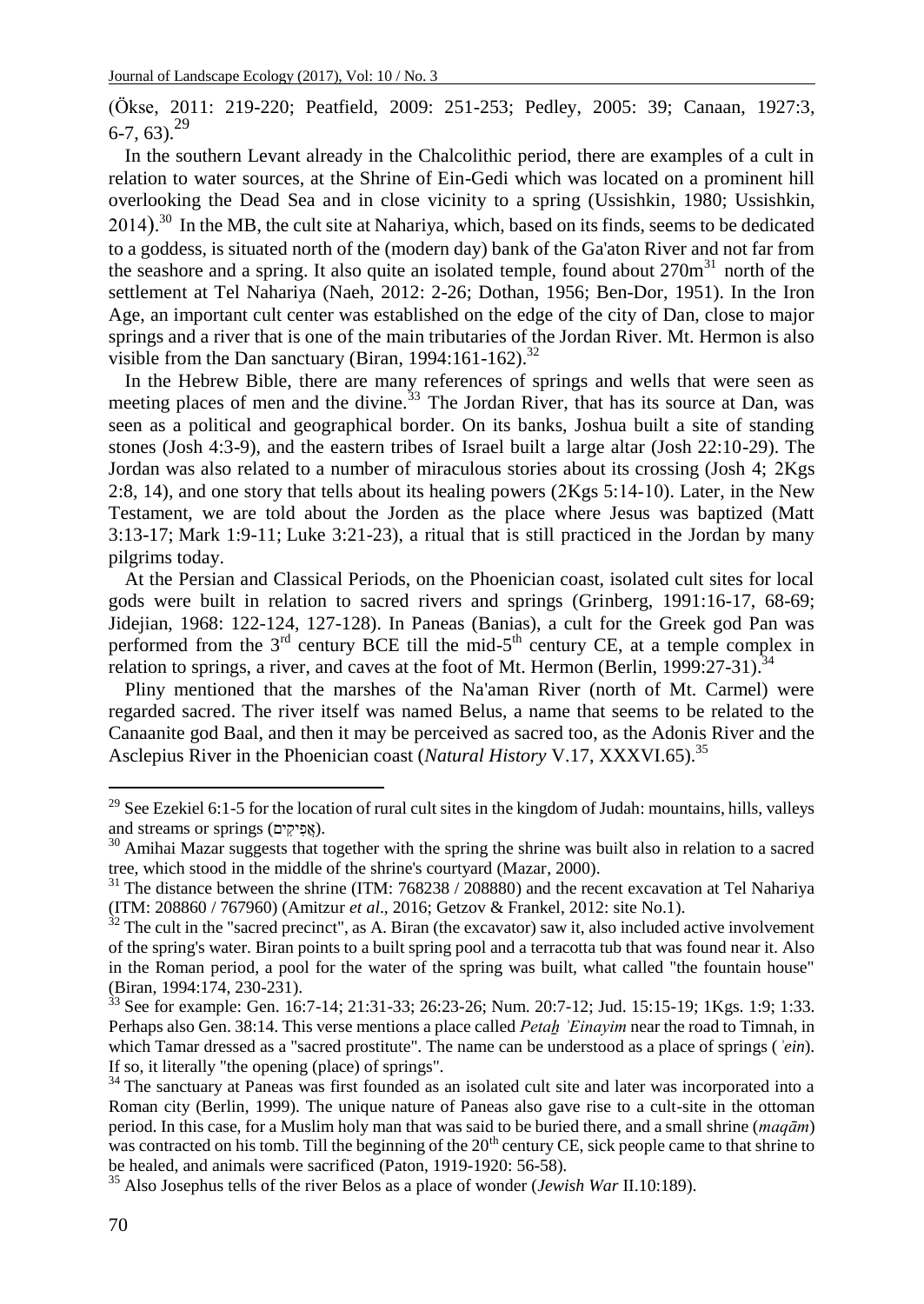(Ökse, 2011: 219-220; Peatfield, 2009: 251-253; Pedley, 2005: 39; Canaan, 1927:3,  $6-7, 63$ <sup>29</sup>

In the southern Levant already in the Chalcolithic period, there are examples of a cult in relation to water sources, at the Shrine of Ein-Gedi which was located on a prominent hill overlooking the Dead Sea and in close vicinity to a spring (Ussishkin, 1980; Ussishkin,  $(2014).$ <sup>30</sup> In the MB, the cult site at Nahariya, which, based on its finds, seems to be dedicated to a goddess, is situated north of the (modern day) bank of the Ga'aton River and not far from the seashore and a spring. It also quite an isolated temple, found about  $270m<sup>31</sup>$  north of the settlement at Tel Nahariya (Naeh, 2012: 2-26; Dothan, 1956; Ben-Dor, 1951). In the Iron Age, an important cult center was established on the edge of the city of Dan, close to major springs and a river that is one of the main tributaries of the Jordan River. Mt. Hermon is also visible from the Dan sanctuary (Biran, 1994:161-162).<sup>32</sup>

In the Hebrew Bible, there are many references of springs and wells that were seen as meeting places of men and the divine.<sup>33</sup> The Jordan River, that has its source at Dan, was seen as a political and geographical border. On its banks, Joshua built a site of standing stones (Josh 4:3-9), and the eastern tribes of Israel built a large altar (Josh 22:10-29). The Jordan was also related to a number of miraculous stories about its crossing (Josh 4; 2Kgs 2:8, 14), and one story that tells about its healing powers  $(2Kgs 5:14-10)$ . Later, in the New Testament, we are told about the Jorden as the place where Jesus was baptized (Matt 3:13-17; Mark 1:9-11; Luke 3:21-23), a ritual that is still practiced in the Jordan by many pilgrims today.

At the Persian and Classical Periods, on the Phoenician coast, isolated cult sites for local gods were built in relation to sacred rivers and springs (Grinberg, 1991:16-17, 68-69; Jidejian, 1968: 122-124, 127-128). In Paneas (Banias), a cult for the Greek god Pan was performed from the  $3<sup>rd</sup>$  century BCE till the mid- $5<sup>th</sup>$  century CE, at a temple complex in relation to springs, a river, and caves at the foot of Mt. Hermon (Berlin, 1999:27-31).<sup>34</sup>

Pliny mentioned that the marshes of the Na'aman River (north of Mt. Carmel) were regarded sacred. The river itself was named Belus, a name that seems to be related to the Canaanite god Baal, and then it may be perceived as sacred too, as the Adonis River and the Asclepius River in the Phoenician coast (*Natural History* V.17, XXXVI.65).<sup>35</sup>

<sup>&</sup>lt;sup>29</sup> See Ezekiel 6:1-5 for the location of rural cult sites in the kingdom of Judah: mountains, hills, valleys and streams or springs (אֵפִיקִים).

<sup>&</sup>lt;sup>30</sup> Amihai Mazar suggests that together with the spring the shrine was built also in relation to a sacred tree, which stood in the middle of the shrine's courtyard (Mazar, 2000).

 $31$  The distance between the shrine (ITM: 768238 / 208880) and the recent excavation at Tel Nahariya (ITM: 208860 / 767960) (Amitzur *et al*., 2016; Getzov & Frankel, 2012: site No.1).

 $32$  The cult in the "sacred precinct", as A. Biran (the excavator) saw it, also included active involvement of the spring's water. Biran points to a built spring pool and a terracotta tub that was found near it. Also in the Roman period, a pool for the water of the spring was built, what called "the fountain house" (Biran, 1994:174, 230-231).

<sup>33</sup> See for example: Gen. 16:7-14; 21:31-33; 26:23-26; Num. 20:7-12; Jud. 15:15-19; 1Kgs. 1:9; 1:33. Perhaps also Gen. 38:14. This verse mentions a place called *Petaẖ ʾEinayim* near the road to Timnah, in which Tamar dressed as a "sacred prostitute". The name can be understood as a place of springs (*ʾein*). If so, it literally "the opening (place) of springs".

<sup>&</sup>lt;sup>34</sup> The sanctuary at Paneas was first founded as an isolated cult site and later was incorporated into a Roman city (Berlin, 1999). The unique nature of Paneas also gave rise to a cult-site in the ottoman period. In this case, for a Muslim holy man that was said to be buried there, and a small shrine (*[maqām](https://en.wikipedia.org/wiki/Mazar_(mausoleum))*) was contracted on his tomb. Till the beginning of the  $20<sup>th</sup>$  century CE, sick people came to that shrine to be healed, and animals were sacrificed (Paton, 1919-1920: 56-58).

<sup>35</sup> Also Josephus tells of the river Belos as a place of wonder (*Jewish War* II.10:189).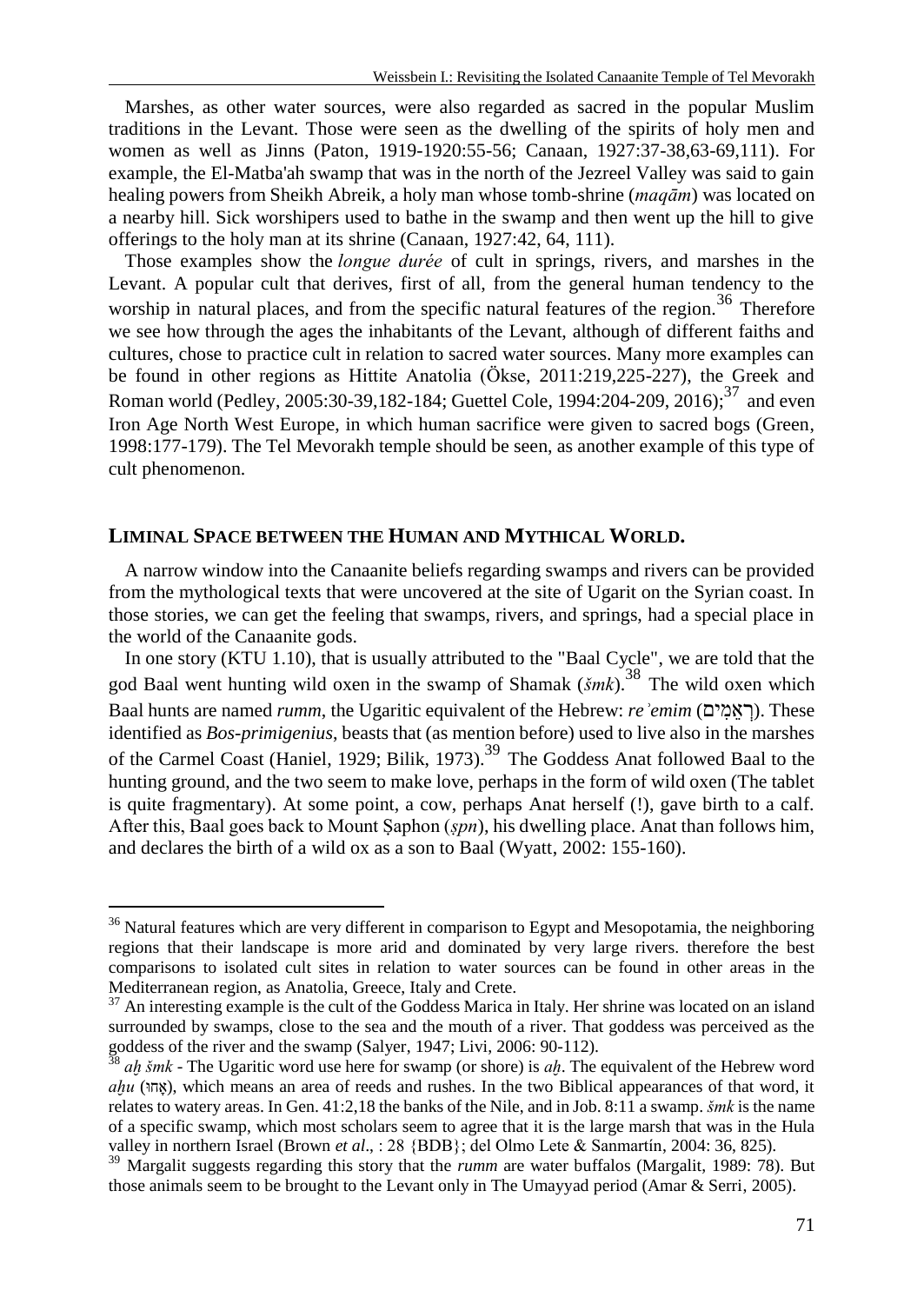Marshes, as other water sources, were also regarded as sacred in the popular Muslim traditions in the Levant. Those were seen as the dwelling of the spirits of holy men and women as well as Jinns (Paton, 1919-1920:55-56; Canaan, 1927:37-38,63-69,111). For example, the El-Matba'ah swamp that was in the north of the Jezreel Valley was said to gain healing powers from Sheikh Abreik, a holy man whose tomb-shrine (*[maqām](https://en.wikipedia.org/wiki/Mazar_(mausoleum))*) was located on a nearby hill. Sick worshipers used to bathe in the swamp and then went up the hill to give offerings to the holy man at its shrine (Canaan, 1927:42, 64, 111).

Those examples show the *longue durée* of cult in springs, rivers, and marshes in the Levant. A popular cult that derives, first of all, from the general human tendency to the worship in natural places, and from the specific natural features of the region.<sup>36</sup> Therefore we see how through the ages the inhabitants of the Levant, although of different faiths and cultures, chose to practice cult in relation to sacred water sources. Many more examples can be found in other regions as Hittite Anatolia (Ökse, 2011:219,225-227), the Greek and Roman world (Pedley, 2005:30-39,182-184; Guettel Cole, 1994:204-209, 2016);<sup>37</sup> and even Iron Age North West Europe, in which human sacrifice were given to sacred bogs (Green, 1998:177-179). The Tel Mevorakh temple should be seen, as another example of this type of cult phenomenon.

# **LIMINAL SPACE BETWEEN THE HUMAN AND MYTHICAL WORLD.**

l

A narrow window into the Canaanite beliefs regarding swamps and rivers can be provided from the mythological texts that were uncovered at the site of Ugarit on the Syrian coast. In those stories, we can get the feeling that swamps, rivers, and springs, had a special place in the world of the Canaanite gods.

In one story (KTU 1.10), that is usually attributed to the "Baal Cycle", we are told that the god Baal went hunting wild oxen in the swamp of Shamak (*šmk*).<sup>38</sup> The wild oxen which Baal hunts are named *rumm*, the Ugaritic equivalent of the Hebrew: *reʾemim* (יםִמֵא ְר(. These identified as *Bos-primigenius*, beasts that (as mention before) used to live also in the marshes of the Carmel Coast (Haniel, 1929; Bilik, 1973).<sup>39</sup> The Goddess Anat followed Baal to the hunting ground, and the two seem to make love, perhaps in the form of wild oxen (The tablet is quite fragmentary). At some point, a cow, perhaps Anat herself (!), gave birth to a calf. After this, Baal goes back to Mount Ṣaphon (*ṣpn*), his dwelling place. Anat than follows him, and declares the birth of a wild ox as a son to Baal (Wyatt, 2002: 155-160).

<sup>&</sup>lt;sup>36</sup> Natural features which are very different in comparison to Egypt and Mesopotamia, the neighboring regions that their landscape is more arid and dominated by very large rivers. therefore the best comparisons to isolated cult sites in relation to water sources can be found in other areas in the Mediterranean region, as Anatolia, Greece, Italy and Crete.

 $37$  An interesting example is the cult of the Goddess Marica in Italy. Her shrine was located on an island surrounded by swamps, close to the sea and the mouth of a river. That goddess was perceived as the goddess of the river and the swamp (Salyer, 1947; Livi, 2006: 90-112).

<sup>38</sup> *aḫ šmk* - The Ugaritic word use here for swamp (or shore) is *aḫ*. The equivalent of the Hebrew word *aḫu* (וּאחָ(, which means an area of reeds and rushes. In the two Biblical appearances of that word, it relates to watery areas. In Gen. 41:2,18 the banks of the Nile, and in Job. 8:11 a swamp. *šmk* is the name of a specific swamp, which most scholars seem to agree that it is the large marsh that was in the Hula valley in northern Israel (Brown *et al*., : 28 {BDB}; del Olmo Lete & Sanmartín, 2004: 36, 825).

<sup>&</sup>lt;sup>39</sup> Margalit suggests regarding this story that the *rumm* are water buffalos (Margalit, 1989: 78). But those animals seem to be brought to the Levant only in The Umayyad period (Amar & Serri, 2005).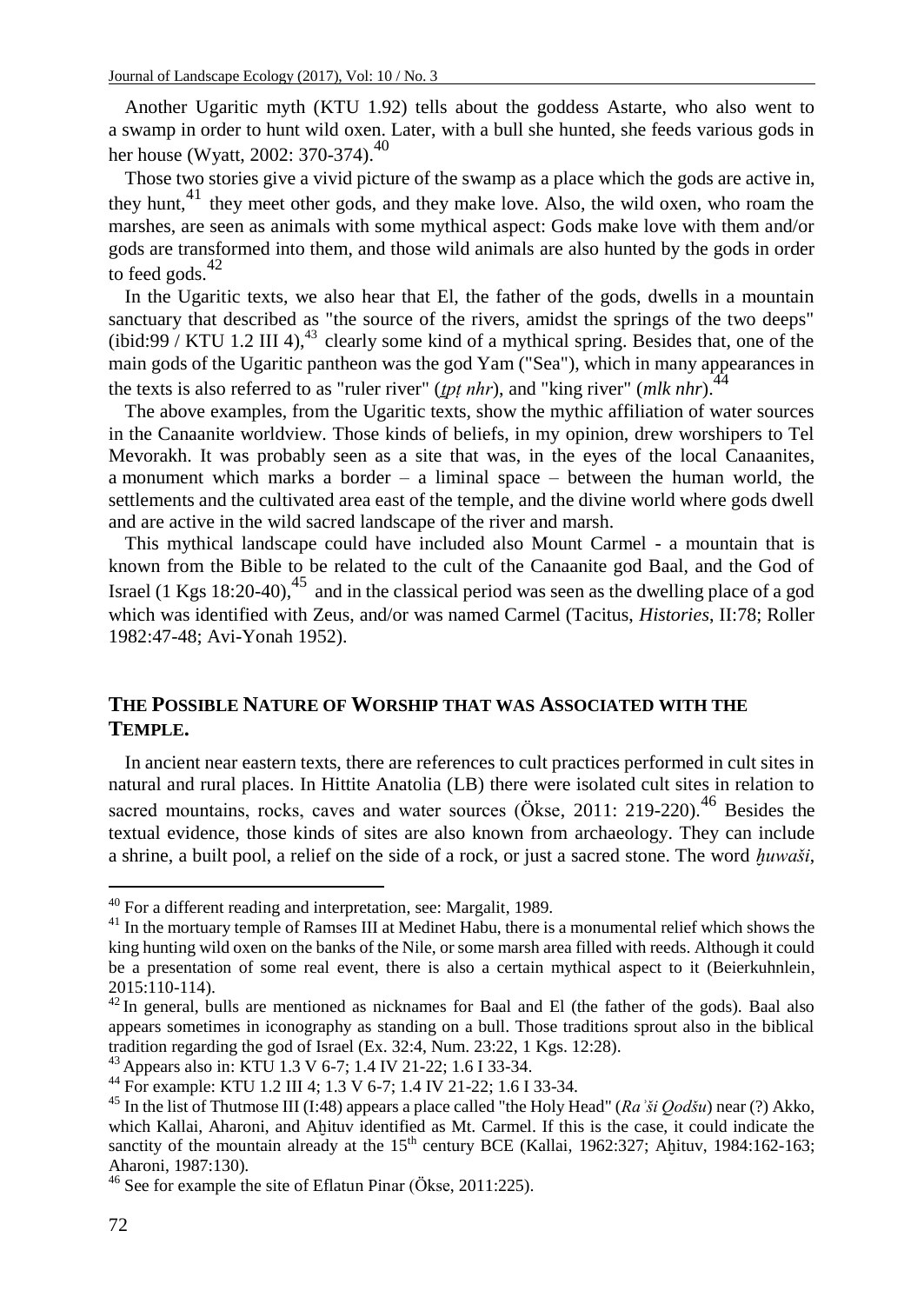Another Ugaritic myth (KTU 1.92) tells about the goddess Astarte, who also went to a swamp in order to hunt wild oxen. Later, with a bull she hunted, she feeds various gods in her house (Wyatt, 2002: 370-374).<sup>40</sup>

Those two stories give a vivid picture of the swamp as a place which the gods are active in, they hunt, $41$  they meet other gods, and they make love. Also, the wild oxen, who roam the marshes, are seen as animals with some mythical aspect: Gods make love with them and/or gods are transformed into them, and those wild animals are also hunted by the gods in order to feed gods. $42$ 

In the Ugaritic texts, we also hear that El, the father of the gods, dwells in a mountain sanctuary that described as "the source of the rivers, amidst the springs of the two deeps" (ibid:99 / KTU 1.2 III 4), $^{43}$  clearly some kind of a mythical spring. Besides that, one of the main gods of the Ugaritic pantheon was the god Yam ("Sea"), which in many appearances in the texts is also referred to as "ruler river" (*tpt nhr*), and "king river" (*mlk nhr*).<sup>44</sup>

The above examples, from the Ugaritic texts, show the mythic affiliation of water sources in the Canaanite worldview. Those kinds of beliefs, in my opinion, drew worshipers to Tel Mevorakh. It was probably seen as a site that was, in the eyes of the local Canaanites, a monument which marks a border – a liminal space – between the human world, the settlements and the cultivated area east of the temple, and the divine world where gods dwell and are active in the wild sacred landscape of the river and marsh.

This mythical landscape could have included also Mount Carmel - a mountain that is known from the Bible to be related to the cult of the Canaanite god Baal, and the God of Israel (1 Kgs 18:20-40), $^{45}$  and in the classical period was seen as the dwelling place of a god which was identified with Zeus, and/or was named Carmel (Tacitus, *Histories*, II:78; Roller 1982:47-48; Avi-Yonah 1952).

# **THE POSSIBLE NATURE OF WORSHIP THAT WAS ASSOCIATED WITH THE TEMPLE.**

In ancient near eastern texts, there are references to cult practices performed in cult sites in natural and rural places. In Hittite Anatolia (LB) there were isolated cult sites in relation to sacred mountains, rocks, caves and water sources (Ökse, 2011: 219-220).<sup>46</sup> Besides the textual evidence, those kinds of sites are also known from archaeology. They can include a shrine, a built pool, a relief on the side of a rock, or just a sacred stone. The word *ḫuwaši*,

 $40$  For a different reading and interpretation, see: Margalit, 1989.

<sup>&</sup>lt;sup>41</sup> In the mortuary temple of Ramses III at Medinet Habu, there is a monumental relief which shows the king hunting wild oxen on the banks of the Nile, or some marsh area filled with reeds. Although it could be a presentation of some real event, there is also a certain mythical aspect to it (Beierkuhnlein, 2015:110-114).

 $42$  In general, bulls are mentioned as nicknames for Baal and El (the father of the gods). Baal also appears sometimes in iconography as standing on a bull. Those traditions sprout also in the biblical tradition regarding the god of Israel (Ex. 32:4, Num. 23:22, 1 Kgs. 12:28).

<sup>&</sup>lt;sup>43</sup> Appears also in: KTU 1.3 V 6-7; 1.4 IV 21-22; 1.6 I 33-34.

<sup>44</sup> For example: KTU 1.2 III 4; 1.3 V 6-7; 1.4 IV 21-22; 1.6 I 33-34.

<sup>45</sup> In the list of Thutmose III (I:48) appears a place called "the Holy Head" (*Raʾši Qodšu*) near (?) Akko, which Kallai, Aharoni, and Ahituv identified as Mt. Carmel. If this is the case, it could indicate the sanctity of the mountain already at the  $15<sup>th</sup>$  century BCE (Kallai, 1962:327; Ahituv, 1984:162-163; Aharoni, 1987:130).

<sup>46</sup> See for example the site of Eflatun Pinar (Ökse, 2011:225).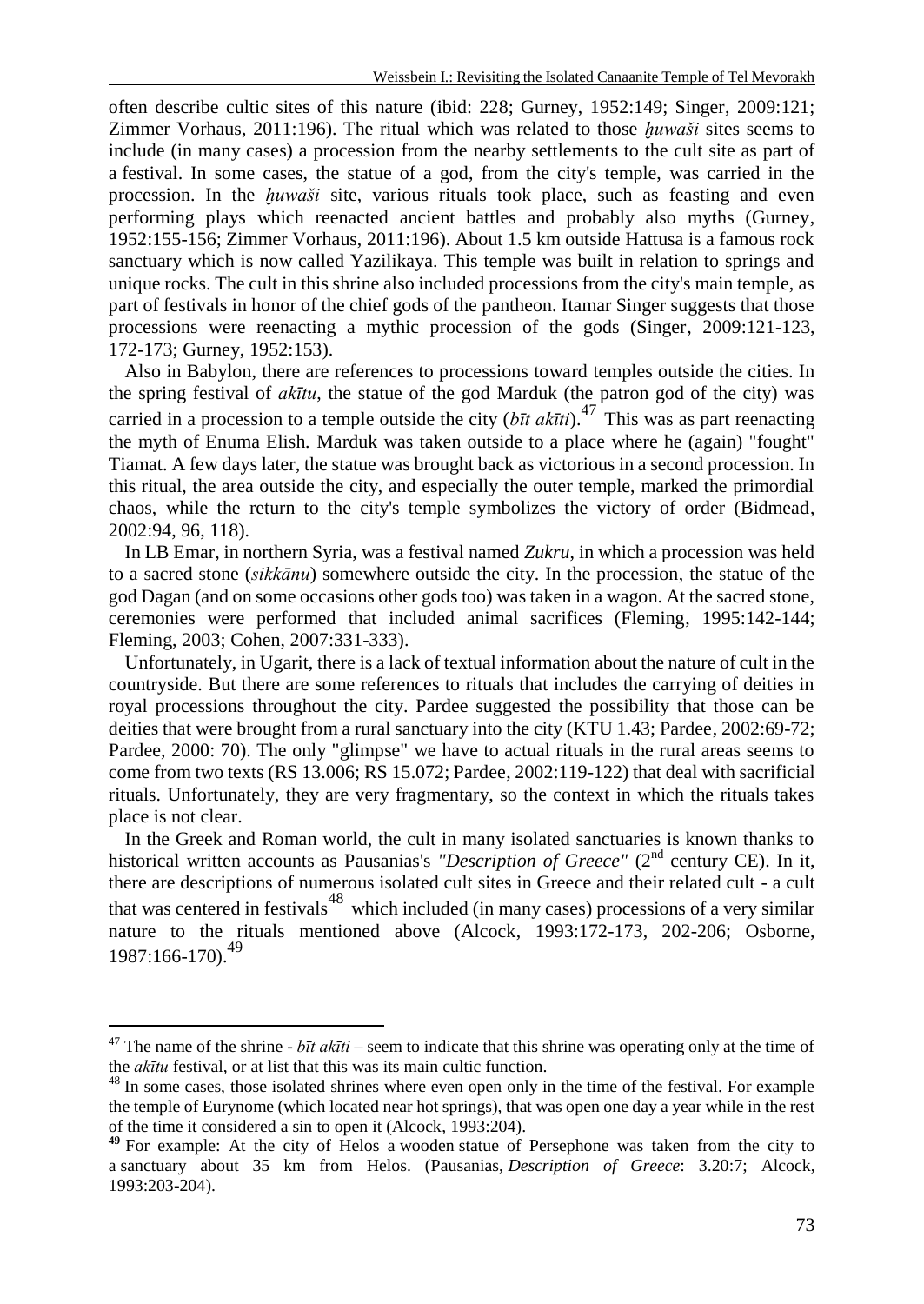often describe cultic sites of this nature (ibid: 228; Gurney, 1952:149; Singer, 2009:121; Zimmer Vorhaus, 2011:196). The ritual which was related to those *ḫuwaši* sites seems to include (in many cases) a procession from the nearby settlements to the cult site as part of a festival. In some cases, the statue of a god, from the city's temple, was carried in the procession. In the *ḫuwaši* site, various rituals took place, such as feasting and even performing plays which reenacted ancient battles and probably also myths (Gurney, 1952:155-156; Zimmer Vorhaus, 2011:196). About 1.5 km outside Hattusa is a famous rock sanctuary which is now called Yazilikaya. This temple was built in relation to springs and unique rocks. The cult in this shrine also included processions from the city's main temple, as part of festivals in honor of the chief gods of the pantheon. Itamar Singer suggests that those processions were reenacting a mythic procession of the gods (Singer, 2009:121-123, 172-173; Gurney, 1952:153).

Also in Babylon, there are references to processions toward temples outside the cities. In the spring festival of *akītu*, the statue of the god Marduk (the patron god of the city) was carried in a procession to a temple outside the city  $(b\bar{t}t \, ak\bar{t}t)$ .<sup>47</sup> This was as part reenacting the myth of Enuma Elish*.* Marduk was taken outside to a place where he (again) "fought" Tiamat. A few days later, the statue was brought back as victorious in a second procession. In this ritual, the area outside the city, and especially the outer temple, marked the primordial chaos, while the return to the city's temple symbolizes the victory of order (Bidmead, 2002:94, 96, 118).

In LB Emar, in northern Syria, was a festival named *Zukru*, in which a procession was held to a sacred stone (*sikkānu*) somewhere outside the city. In the procession, the statue of the god Dagan (and on some occasions other gods too) was taken in a wagon. At the sacred stone, ceremonies were performed that included animal sacrifices (Fleming, 1995:142-144; Fleming, 2003; Cohen, 2007:331-333).

Unfortunately, in Ugarit, there is a lack of textual information about the nature of cult in the countryside. But there are some references to rituals that includes the carrying of deities in royal processions throughout the city. Pardee suggested the possibility that those can be deities that were brought from a rural sanctuary into the city (KTU 1.43; Pardee, 2002:69-72; Pardee, 2000: 70). The only "glimpse" we have to actual rituals in the rural areas seems to come from two texts (RS 13.006; RS 15.072; Pardee, 2002:119-122) that deal with sacrificial rituals. Unfortunately, they are very fragmentary, so the context in which the rituals takes place is not clear.

In the Greek and Roman world, the cult in many isolated sanctuaries is known thanks to historical written accounts as Pausanias's *"Description of Greece"* (2<sup>nd</sup> century CE). In it, there are descriptions of numerous isolated cult sites in Greece and their related cult - a cult that was centered in festivals<sup>48</sup> which included (in many cases) processions of a very similar nature to the rituals mentioned above (Alcock, 1993:172-173, 202-206; Osborne, 1987:166-170).<sup>49</sup>

<sup>&</sup>lt;sup>47</sup> The name of the shrine -  $b\bar{t}t$  ak $\bar{t}t$ *i* – seem to indicate that this shrine was operating only at the time of the *akītu* festival, or at list that this was its main cultic function.

<sup>&</sup>lt;sup>48</sup> In some cases, those isolated shrines where even open only in the time of the festival. For example the temple of Eurynome (which located near hot springs), that was open one day a year while in the rest of the time it considered a sin to open it (Alcock, 1993:204).

**<sup>49</sup>** For example: At the city of Helos a wooden statue of Persephone was taken from the city to a sanctuary about 35 km from Helos. (Pausanias, *Description of Greece*: 3.20:7; Alcock, 1993:203-204).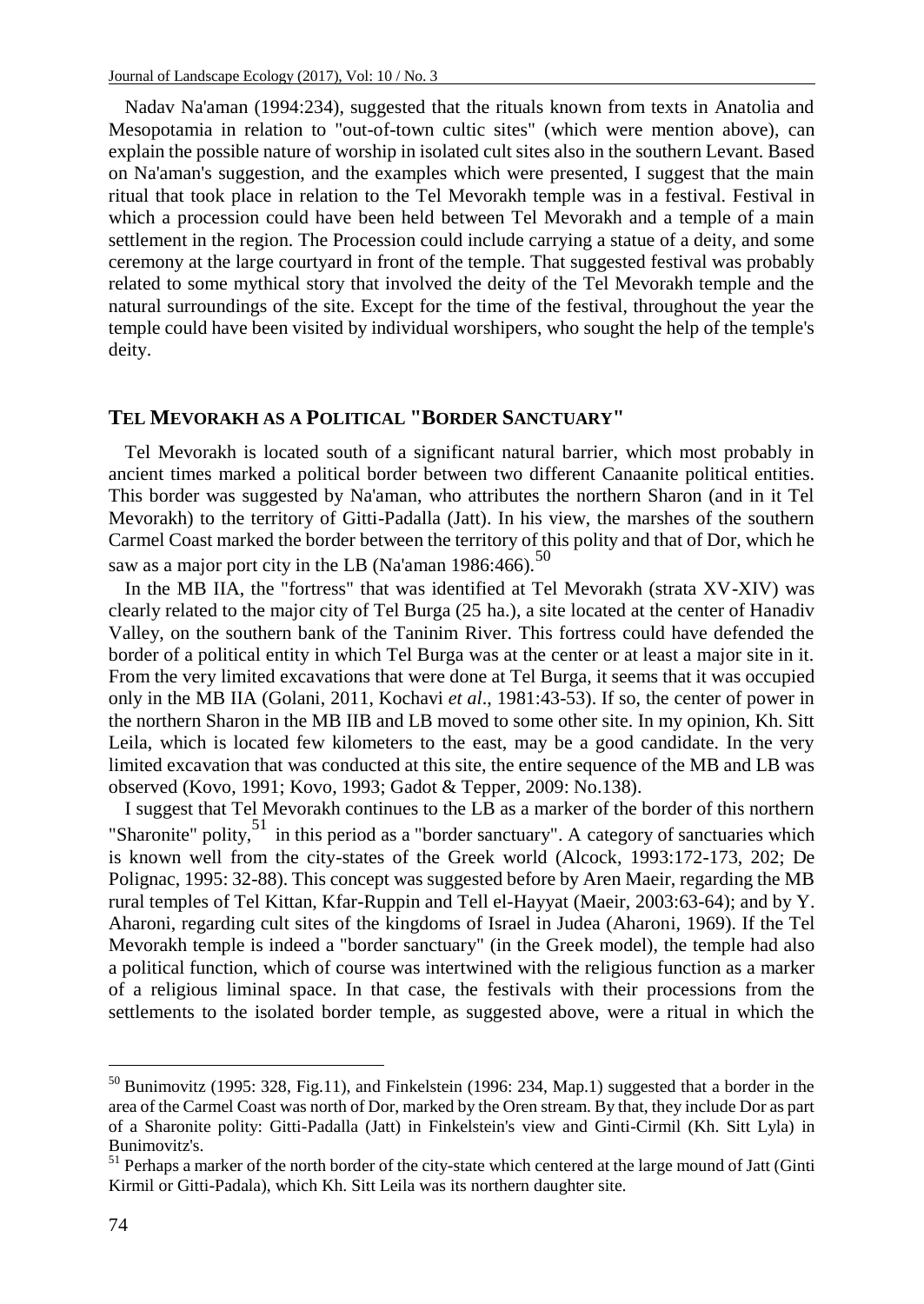Nadav Na'aman (1994:234), suggested that the rituals known from texts in Anatolia and Mesopotamia in relation to "out-of-town cultic sites" (which were mention above), can explain the possible nature of worship in isolated cult sites also in the southern Levant. Based on Na'aman's suggestion, and the examples which were presented, I suggest that the main ritual that took place in relation to the Tel Mevorakh temple was in a festival. Festival in which a procession could have been held between Tel Mevorakh and a temple of a main settlement in the region. The Procession could include carrying a statue of a deity, and some ceremony at the large courtyard in front of the temple. That suggested festival was probably related to some mythical story that involved the deity of the Tel Mevorakh temple and the natural surroundings of the site. Except for the time of the festival, throughout the year the temple could have been visited by individual worshipers, who sought the help of the temple's deity.

#### **TEL MEVORAKH AS A POLITICAL "BORDER SANCTUARY"**

Tel Mevorakh is located south of a significant natural barrier, which most probably in ancient times marked a political border between two different Canaanite political entities. This border was suggested by Na'aman, who attributes the northern Sharon (and in it Tel Mevorakh) to the territory of Gitti-Padalla (Jatt). In his view, the marshes of the southern Carmel Coast marked the border between the territory of this polity and that of Dor, which he saw as a major port city in the LB (Na'aman 1986:466).<sup>50</sup>

In the MB IIA, the "fortress" that was identified at Tel Mevorakh (strata XV-XIV) was clearly related to the major city of Tel Burga (25 ha.), a site located at the center of Hanadiv Valley, on the southern bank of the Taninim River. This fortress could have defended the border of a political entity in which Tel Burga was at the center or at least a major site in it. From the very limited excavations that were done at Tel Burga, it seems that it was occupied only in the MB IIA (Golani, 2011, Kochavi *et al*., 1981:43-53). If so, the center of power in the northern Sharon in the MB IIB and LB moved to some other site. In my opinion, Kh. Sitt Leila, which is located few kilometers to the east, may be a good candidate. In the very limited excavation that was conducted at this site, the entire sequence of the MB and LB was observed (Kovo, 1991; Kovo, 1993; Gadot & Tepper, 2009: No.138).

I suggest that Tel Mevorakh continues to the LB as a marker of the border of this northern "Sharonite" polity,<sup>51</sup> in this period as a "border sanctuary". A category of sanctuaries which is known well from the city-states of the Greek world (Alcock, 1993:172-173, 202; De Polignac, 1995: 32-88). This concept was suggested before by Aren Maeir, regarding the MB rural temples of Tel Kittan, Kfar-Ruppin and Tell el-Hayyat (Maeir, 2003:63-64); and by Y. Aharoni, regarding cult sites of the kingdoms of Israel in Judea (Aharoni, 1969). If the Tel Mevorakh temple is indeed a "border sanctuary" (in the Greek model), the temple had also a political function, which of course was intertwined with the religious function as a marker of a religious liminal space. In that case, the festivals with their processions from the settlements to the isolated border temple, as suggested above, were a ritual in which the

 $50$  Bunimovitz (1995: 328, Fig.11), and Finkelstein (1996: 234, Map.1) suggested that a border in the area of the Carmel Coast was north of Dor, marked by the Oren stream. By that, they include Dor as part of a Sharonite polity: Gitti-Padalla (Jatt) in Finkelstein's view and Ginti-Cirmil (Kh. Sitt Lyla) in Bunimovitz's.

<sup>&</sup>lt;sup>51</sup> Perhaps a marker of the north border of the city-state which centered at the large mound of Jatt (Ginti Kirmil or Gitti-Padala), which Kh. Sitt Leila was its northern daughter site.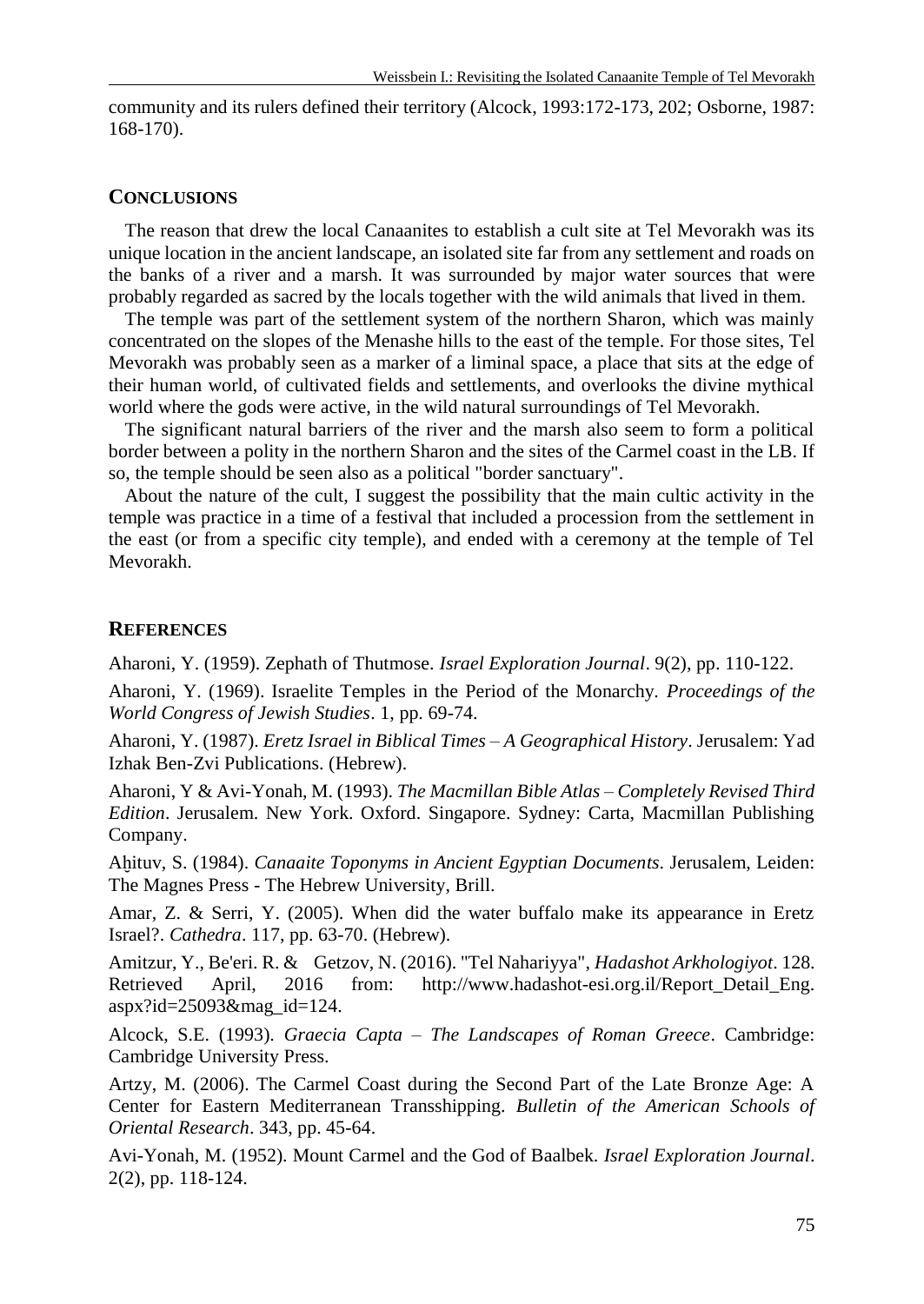community and its rulers defined their territory (Alcock, 1993:172-173, 202; Osborne, 1987: 168-170).

#### **CONCLUSIONS**

The reason that drew the local Canaanites to establish a cult site at Tel Mevorakh was its unique location in the ancient landscape, an isolated site far from any settlement and roads on the banks of a river and a marsh. It was surrounded by major water sources that were probably regarded as sacred by the locals together with the wild animals that lived in them.

The temple was part of the settlement system of the northern Sharon, which was mainly concentrated on the slopes of the Menashe hills to the east of the temple. For those sites, Tel Mevorakh was probably seen as a marker of a liminal space, a place that sits at the edge of their human world, of cultivated fields and settlements, and overlooks the divine mythical world where the gods were active, in the wild natural surroundings of Tel Mevorakh.

The significant natural barriers of the river and the marsh also seem to form a political border between a polity in the northern Sharon and the sites of the Carmel coast in the LB. If so, the temple should be seen also as a political "border sanctuary".

About the nature of the cult, I suggest the possibility that the main cultic activity in the temple was practice in a time of a festival that included a procession from the settlement in the east (or from a specific city temple), and ended with a ceremony at the temple of Tel Mevorakh.

### **REFERENCES**

Aharoni, Y. (1959). Zephath of Thutmose. *Israel Exploration Journal*. 9(2), pp. 110-122.

Aharoni, Y. (1969). Israelite Temples in the Period of the Monarchy. *Proceedings of the World Congress of Jewish Studies*. 1, pp. 69-74.

Aharoni, Y. (1987). *Eretz Israel in Biblical Times – A Geographical History*. Jerusalem: Yad Izhak Ben-Zvi Publications. (Hebrew).

Aharoni, Y & Avi-Yonah, M. (1993). *The Macmillan Bible Atlas – Completely Revised Third Edition*. Jerusalem. New York. Oxford. Singapore. Sydney: Carta, Macmillan Publishing Company.

Aḫituv, S. (1984). *Canaaite Toponyms in Ancient Egyptian Documents*. Jerusalem, Leiden: The Magnes Press - The Hebrew University, Brill.

Amar, Z. & Serri, Y. (2005). When did the water buffalo make its appearance in Eretz Israel?. *Cathedra*. 117, pp. 63-70. (Hebrew).

Amitzur, Y., Be'eri. R. & Getzov, N. (2016). "Tel Nahariyya", *Hadashot Arkhologiyot*. 128. Retrieved April, 2016 from: http://www.hadashot-esi.org.il/Report Detail Eng. aspx?id=25093&mag\_id=124.

Alcock, S.E. (1993). *Graecia Capta – The Landscapes of Roman Greece*. Cambridge: Cambridge University Press.

Artzy, M. (2006). The Carmel Coast during the Second Part of the Late Bronze Age: A Center for Eastern Mediterranean Transshipping. *Bulletin of the American Schools of Oriental Research*. 343, pp. 45-64.

Avi-Yonah, M. (1952). Mount Carmel and the God of Baalbek. *Israel Exploration Journal*. 2(2), pp. 118-124.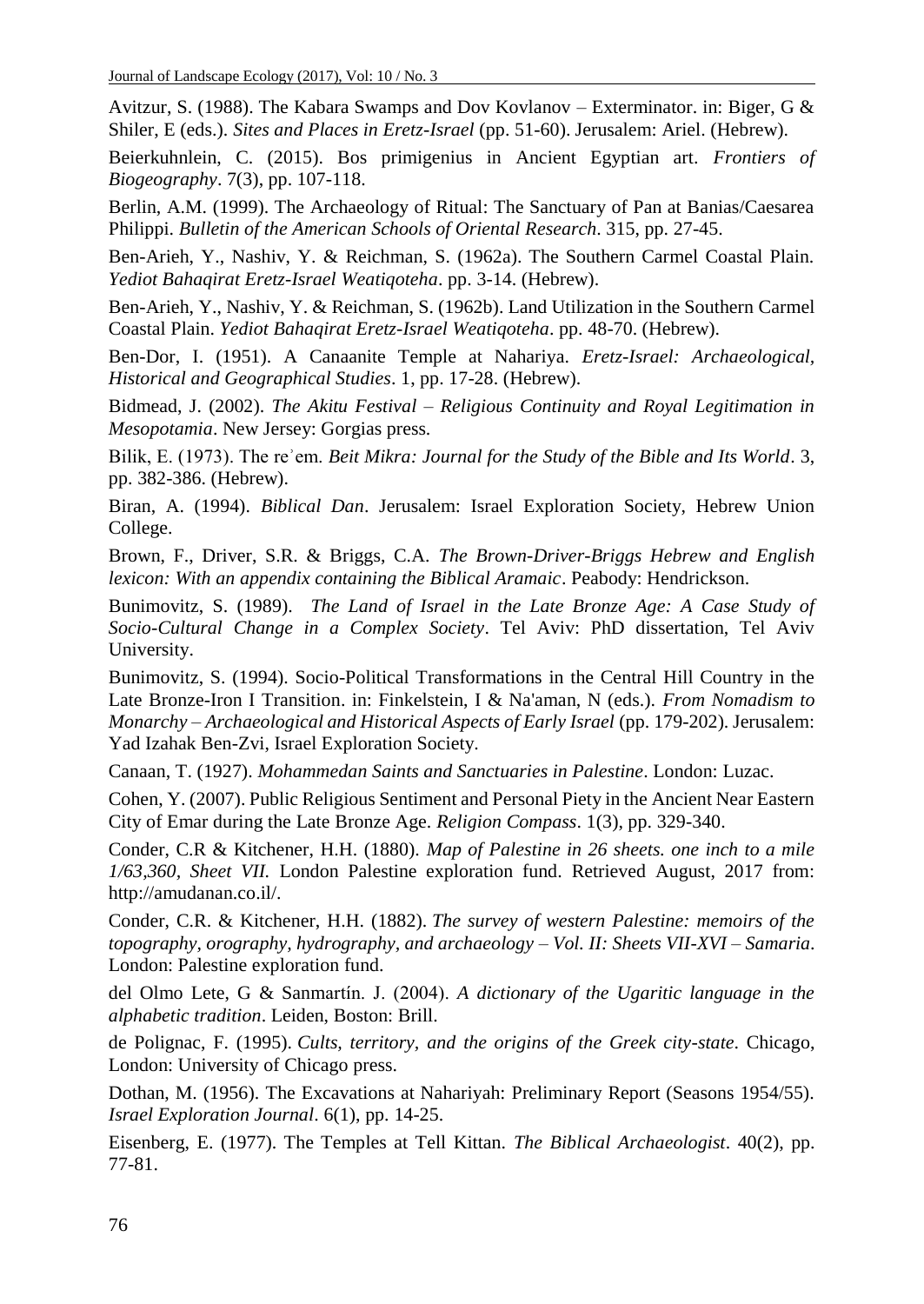Avitzur, S. (1988). The Kabara Swamps and Dov Kovlanov – Exterminator. in: Biger, G & Shiler, E (eds.). *Sites and Places in Eretz-Israel* (pp. 51-60). Jerusalem: Ariel. (Hebrew).

Beierkuhnlein, C. (2015). Bos primigenius in Ancient Egyptian art. *Frontiers of Biogeography*. 7(3), pp. 107-118.

Berlin, A.M. (1999). The Archaeology of Ritual: The Sanctuary of Pan at Banias/Caesarea Philippi. *Bulletin of the American Schools of Oriental Research*. 315, pp. 27-45.

Ben-Arieh, Y., Nashiv, Y. & Reichman, S. (1962a). The Southern Carmel Coastal Plain. *Yediot Bahaqirat Eretz-Israel Weatiqoteha*. pp. 3-14. (Hebrew).

Ben-Arieh, Y., Nashiv, Y. & Reichman, S. (1962b). Land Utilization in the Southern Carmel Coastal Plain. *Yediot Bahaqirat Eretz-Israel Weatiqoteha*. pp. 48-70. (Hebrew).

Ben-Dor, I. (1951). A Canaanite Temple at Nahariya. *Eretz-Israel: Archaeological, Historical and Geographical Studies*. 1, pp. 17-28. (Hebrew).

Bidmead, J. (2002). *The Akitu Festival – Religious Continuity and Royal Legitimation in Mesopotamia*. New Jersey: Gorgias press.

Bilik, E. (1973). The reʾem. *Beit Mikra: Journal for the Study of the Bible and Its World*. 3, pp. 382-386. (Hebrew).

Biran, A. (1994). *Biblical Dan*. Jerusalem: Israel Exploration Society, Hebrew Union College.

Brown, F., Driver, S.R. & Briggs, C.A. *The Brown-Driver-Briggs Hebrew and English lexicon: With an appendix containing the Biblical Aramaic*. Peabody: Hendrickson.

Bunimovitz, S. (1989). *The Land of Israel in the Late Bronze Age: A Case Study of Socio-Cultural Change in a Complex Society*. Tel Aviv: PhD dissertation, Tel Aviv University.

Bunimovitz, S. (1994). Socio-Political Transformations in the Central Hill Country in the Late Bronze-Iron I Transition. in: Finkelstein, I & Na'aman, N (eds.). *From Nomadism to Monarchy – Archaeological and Historical Aspects of Early Israel* (pp. 179-202). Jerusalem: Yad Izahak Ben-Zvi, Israel Exploration Society.

Canaan, T. (1927). *Mohammedan Saints and Sanctuaries in Palestine*. London: Luzac.

Cohen, Y. (2007). Public Religious Sentiment and Personal Piety in the Ancient Near Eastern City of Emar during the Late Bronze Age. *Religion Compass*. 1(3), pp. 329-340.

Conder, C.R & Kitchener, H.H. (1880). *Map of Palestine in 26 sheets. one inch to a mile 1/63,360, Sheet VII.* London Palestine exploration fund. Retrieved August, 2017 from: http://amudanan.co.il/.

Conder, C.R. & [Kitchener, H.H. \(1882\).](https://archive.org/search.php?query=creator%3A%22Kitchener%2C+Horatio+Herbert+Kitchener%2C+Earl%2C+1850-1916%22) *The survey of western Palestine: memoirs of the topography, orography, hydrography, and archaeology – Vol. II: Sheets VII-XVI – Samaria*. London: Palestine exploration fund.

del Olmo Lete, G & Sanmartín. J. (2004). *A dictionary of the Ugaritic language in the alphabetic tradition*. Leiden, Boston: Brill.

de Polignac, F. (1995). *Cults, territory, and the origins of the Greek city-state*. Chicago, London: University of Chicago press.

Dothan, M. (1956). The Excavations at Nahariyah: Preliminary Report (Seasons 1954/55). *Israel Exploration Journal*. 6(1), pp. 14-25.

Eisenberg, E. (1977). The Temples at Tell Kittan. *The Biblical Archaeologist*. 40(2), pp. 77-81.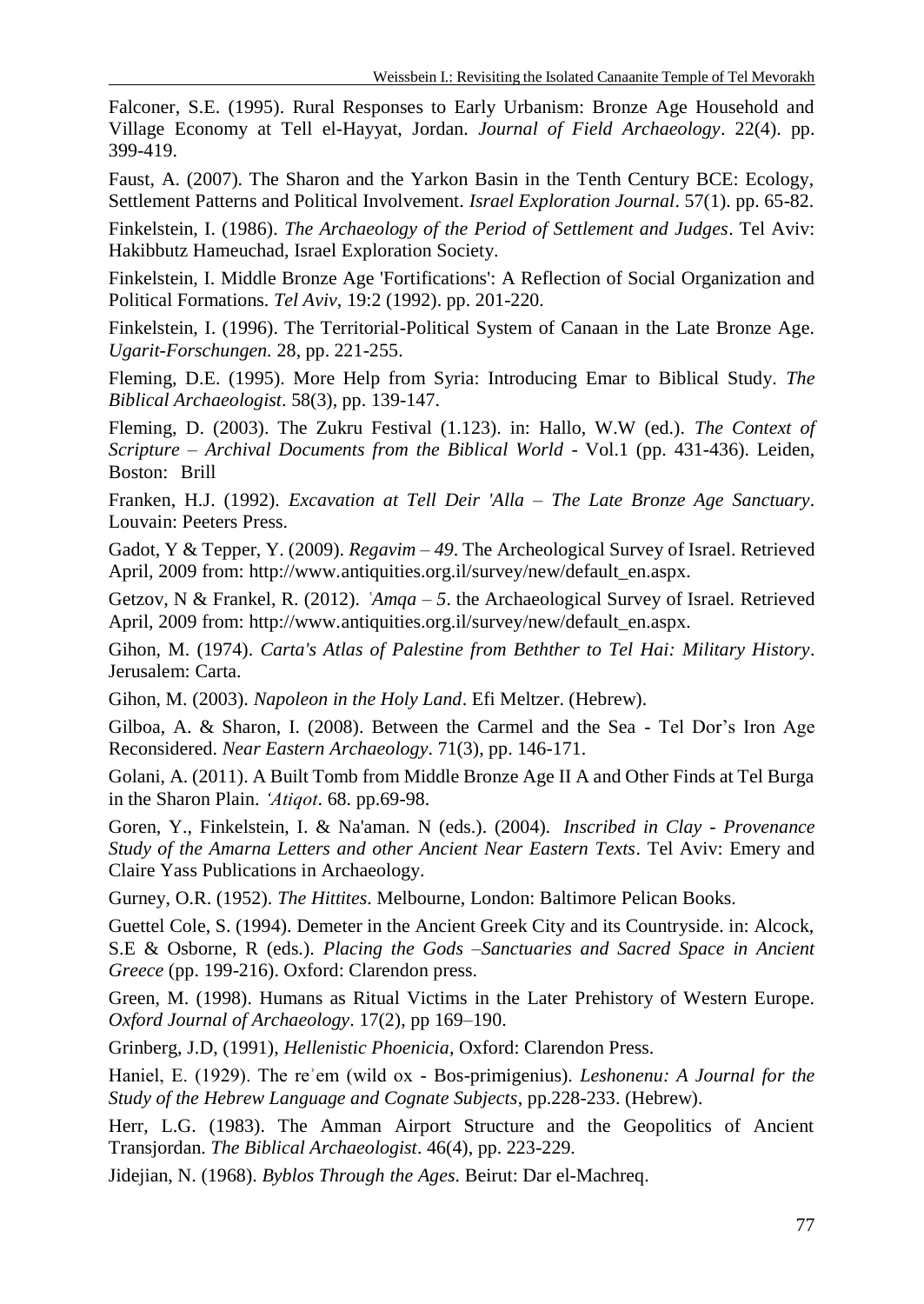Falconer, S.E. (1995). Rural Responses to Early Urbanism: Bronze Age Household and Village Economy at Tell el-Hayyat, Jordan. *Journal of Field Archaeology*. 22(4). pp. 399-419.

Faust, A. (2007). The Sharon and the Yarkon Basin in the Tenth Century BCE: Ecology, Settlement Patterns and Political Involvement. *Israel Exploration Journal*. 57(1). pp. 65-82.

Finkelstein, I. (1986). *The Archaeology of the Period of Settlement and Judges*. Tel Aviv: Hakibbutz Hameuchad, Israel Exploration Society.

Finkelstein, I. Middle Bronze Age 'Fortifications': A Reflection of Social Organization and Political Formations. *Tel Aviv*, 19:2 (1992). pp. 201-220.

Finkelstein, I. (1996). The Territorial-Political System of Canaan in the Late Bronze Age. *Ugarit-Forschungen.* 28, pp. 221-255.

Fleming, D.E. (1995). More Help from Syria: Introducing Emar to Biblical Study. *The Biblical Archaeologist*. 58(3), pp. 139-147.

Fleming, D. (2003). The Zukru Festival (1.123). in: Hallo, W.W (ed.). *The Context of Scripture – Archival Documents from the Biblical World -* Vol.1 (pp. 431-436). Leiden, Boston: Brill

Franken, H.J. (1992). *Excavation at Tell Deir 'Alla – The Late Bronze Age Sanctuary*. Louvain: Peeters Press.

Gadot, Y & Tepper, Y. (2009). *Regavim – 49*. The Archeological Survey of Israel. Retrieved April, 2009 from: http://www.antiquities.org.il/survey/new/default\_en.aspx.

Getzov, N & Frankel, R. (2012). *ʿAmqa – 5*. the Archaeological Survey of Israel. Retrieved April, 2009 from: http://www.antiquities.org.il/survey/new/default\_en.aspx.

Gihon, M. (1974). *Carta's Atlas of Palestine from Bethther to Tel Hai: Military History*. Jerusalem: Carta.

Gihon, M. (2003). *Napoleon in the Holy Land*. Efi Meltzer. (Hebrew).

Gilboa, A. & Sharon, I. (2008). Between the Carmel and the Sea - Tel Dor's Iron Age Reconsidered. *Near Eastern Archaeology*. 71(3), pp. 146-171.

Golani, A. (2011). A Built Tomb from Middle Bronze Age II A and Other Finds at Tel Burga in the Sharon Plain. *'Atiqot*. 68. pp.69-98.

Goren, Y., Finkelstein, I. & Na'aman. N (eds.). (2004). *Inscribed in Clay - Provenance Study of the Amarna Letters and other Ancient Near Eastern Texts*. Tel Aviv: Emery and Claire Yass Publications in Archaeology.

Gurney, O.R. (1952). *The Hittites*. Melbourne, London: Baltimore Pelican Books.

Guettel Cole, S. (1994). Demeter in the Ancient Greek City and its Countryside. in: Alcock, S.E & Osborne, R (eds.). *Placing the Gods –Sanctuaries and Sacred Space in Ancient Greece* (pp. 199-216). Oxford: Clarendon press.

Green, M. (1998). Humans as Ritual Victims in the Later Prehistory of Western Europe. *Oxford Journal of Archaeology*. 17(2), pp 169–190.

Grinberg, J.D, (1991), *Hellenistic Phoenicia*, Oxford: Clarendon Press.

Haniel, E. (1929). The reʾem (wild ox - Bos-primigenius). *Leshonenu: A Journal for the Study of the Hebrew Language and Cognate Subjects*, pp.228-233. (Hebrew).

Herr, L.G. (1983). The Amman Airport Structure and the Geopolitics of Ancient Transjordan. *The Biblical Archaeologist*. 46(4), pp. 223-229.

Jidejian, N. (1968). *Byblos Through the Ages*. Beirut: Dar el-Machreq.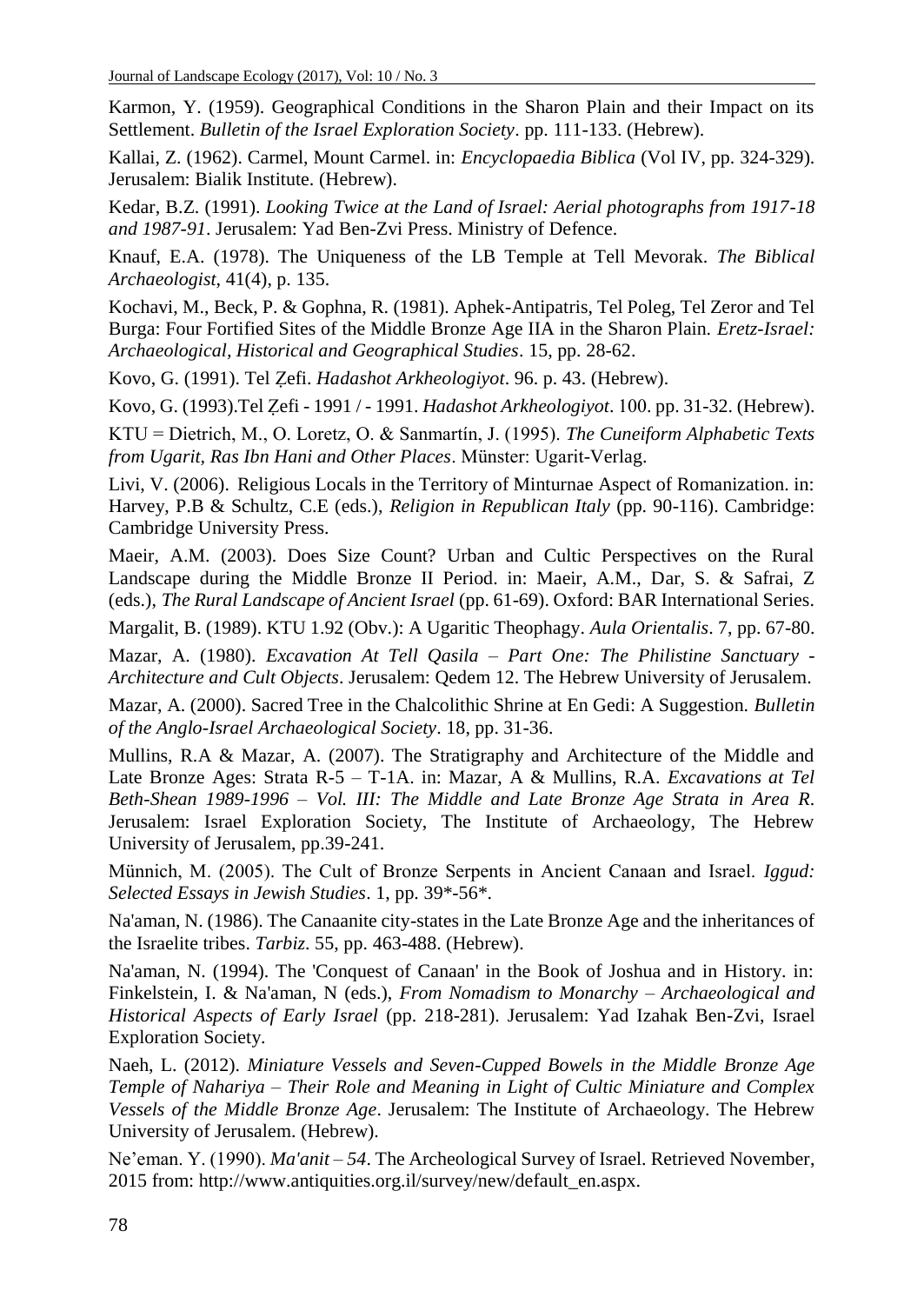Karmon, Y. (1959). Geographical Conditions in the Sharon Plain and their Impact on its Settlement. *Bulletin of the Israel Exploration Society*. pp. 111-133. (Hebrew).

Kallai, Z. (1962). Carmel, Mount Carmel. in: *Encyclopaedia Biblica* (Vol IV, pp. 324-329). Jerusalem: Bialik Institute. (Hebrew).

Kedar, B.Z. (1991). *Looking Twice at the Land of Israel: Aerial photographs from 1917-18 and 1987-91*. Jerusalem: Yad Ben-Zvi Press. Ministry of Defence.

Knauf, E.A. (1978). The Uniqueness of the LB Temple at Tell Mevorak. *The Biblical Archaeologist*, 41(4), p. 135.

Kochavi, M., Beck, P. & Gophna, R. (1981). Aphek-Antipatris, Tel Poleg, Tel Zeror and Tel Burga: Four Fortified Sites of the Middle Bronze Age IIA in the Sharon Plain. *Eretz-Israel: Archaeological, Historical and Geographical Studies*. 15, pp. 28-62.

Kovo, G. (1991). Tel Ẓefi. *Hadashot Arkheologiyot*. 96. p. 43. (Hebrew).

Kovo, G. (1993).Tel Zefi - 1991 / - 1991. *Hadashot Arkheologiyot*. 100. pp. 31-32. (Hebrew).

KTU = Dietrich, M., O. Loretz, O. & Sanmartín, J. (1995). *The Cuneiform Alphabetic Texts from Ugarit, Ras Ibn Hani and Other Places*. Münster: Ugarit-Verlag.

Livi, V. (2006). Religious Locals in the Territory of Minturnae Aspect of Romanization. in: Harvey, P.B & Schultz, C.E (eds.), *Religion in Republican Italy* (pp. 90-116). Cambridge: Cambridge University Press.

Maeir, A.M. (2003). Does Size Count? Urban and Cultic Perspectives on the Rural Landscape during the Middle Bronze II Period. in: Maeir, A.M., Dar, S. & Safrai, Z (eds.), *The Rural Landscape of Ancient Israel* (pp. 61-69). Oxford: BAR International Series.

Margalit, B. (1989). KTU 1.92 (Obv.): A Ugaritic Theophagy. *Aula Orientalis*. 7, pp. 67-80.

Mazar, A. (1980). *Excavation At Tell Qasila – Part One: The Philistine Sanctuary - Architecture and Cult Objects*. Jerusalem: Qedem 12. The Hebrew University of Jerusalem.

Mazar, A. (2000). Sacred Tree in the Chalcolithic Shrine at En Gedi: A Suggestion. *Bulletin of the Anglo-Israel Archaeological Society*. 18, pp. 31-36.

Mullins, R.A & Mazar, A. (2007). The Stratigraphy and Architecture of the Middle and Late Bronze Ages: Strata R-5 – T-1A. in: Mazar, A & Mullins, R.A. *Excavations at Tel Beth-Shean 1989-1996 – Vol. III: The Middle and Late Bronze Age Strata in Area R*. Jerusalem: Israel Exploration Society, The Institute of Archaeology, The Hebrew University of Jerusalem, pp.39-241.

Münnich, M. (2005). The Cult of Bronze Serpents in Ancient Canaan and Israel. *Iggud: Selected Essays in Jewish Studies*. 1, pp. 39\*-56\*.

Na'aman, N. (1986). The Canaanite city-states in the Late Bronze Age and the inheritances of the Israelite tribes. *Tarbiz*. 55, pp. 463-488. (Hebrew).

Na'aman, N. (1994). The 'Conquest of Canaan' in the Book of Joshua and in History. in: Finkelstein, I. & Na'aman, N (eds.), *From Nomadism to Monarchy – Archaeological and Historical Aspects of Early Israel* (pp. 218-281). Jerusalem: Yad Izahak Ben-Zvi, Israel Exploration Society.

Naeh, L. (2012). *Miniature Vessels and Seven-Cupped Bowels in the Middle Bronze Age Temple of Nahariya – Their Role and Meaning in Light of Cultic Miniature and Complex Vessels of the Middle Bronze Age*. Jerusalem: The Institute of Archaeology. The Hebrew University of Jerusalem. (Hebrew).

Ne'eman. Y. (1990). *Ma'anit – 54*. The Archeological Survey of Israel. Retrieved November, 2015 from: http://www.antiquities.org.il/survey/new/default\_en.aspx.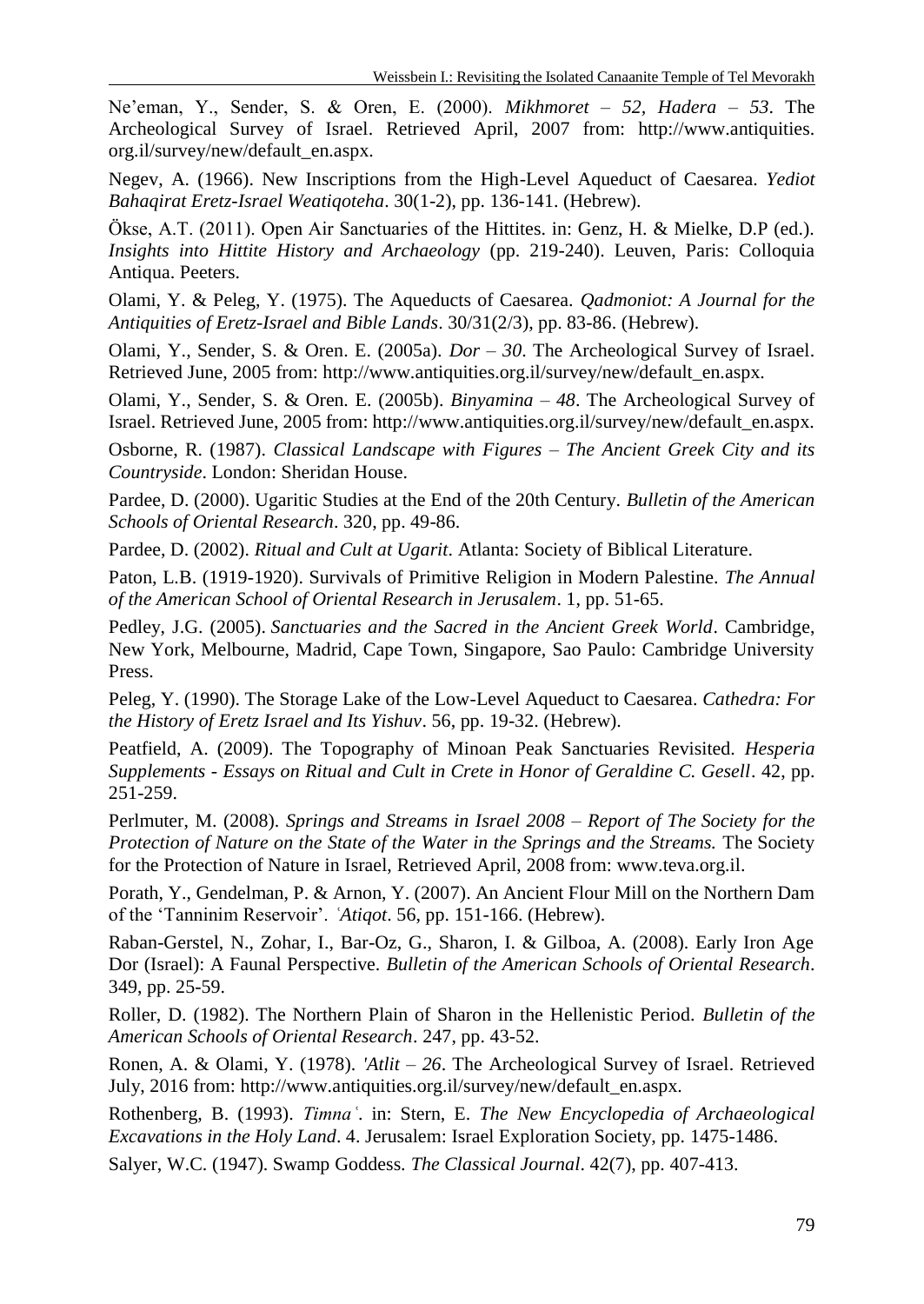Ne'eman, Y., Sender, S. & Oren, E. (2000). *Mikhmoret – 52, Hadera – 53*. The Archeological Survey of Israel. Retrieved April, 2007 from: http://www.antiquities. org.il/survey/new/default\_en.aspx.

Negev, A. (1966). New Inscriptions from the High-Level Aqueduct of Caesarea. *Yediot Bahaqirat Eretz-Israel Weatiqoteha*. 30(1-2), pp. 136-141. (Hebrew).

Ökse, A.T. (2011). Open Air Sanctuaries of the Hittites. in: Genz, H. & Mielke, D.P (ed.). *Insights into Hittite History and Archaeology* (pp. 219-240). Leuven, Paris: Colloquia Antiqua. Peeters.

Olami, Y. & Peleg, Y. (1975). The Aqueducts of Caesarea. *Qadmoniot: A Journal for the Antiquities of Eretz-Israel and Bible Lands*. 30/31(2/3), pp. 83-86. (Hebrew).

Olami, Y., Sender, S. & Oren. E. (2005a). *Dor – 30*. The Archeological Survey of Israel. Retrieved June, 2005 from: http://www.antiquities.org.il/survey/new/default\_en.aspx.

Olami, Y., Sender, S. & Oren. E. (2005b). *Binyamina – 48*. The Archeological Survey of Israel. Retrieved June, 2005 from: http://www.antiquities.org.il/survey/new/default\_en.aspx.

Osborne, R. (1987). *Classical Landscape with Figures – The Ancient Greek City and its Countryside*. London: Sheridan House.

Pardee, D. (2000). Ugaritic Studies at the End of the 20th Century. *Bulletin of the American Schools of Oriental Research*. 320, pp. 49-86.

Pardee, D. (2002). *Ritual and Cult at Ugarit*. Atlanta: Society of Biblical Literature.

Paton, L.B. (1919-1920). Survivals of Primitive Religion in Modern Palestine. *The Annual of the American School of Oriental Research in Jerusalem*. 1, pp. 51-65.

Pedley, J.G. (2005). *Sanctuaries and the Sacred in the Ancient Greek World*. Cambridge, New York, Melbourne, Madrid, Cape Town, Singapore, Sao Paulo: Cambridge University Press.

Peleg, Y. (1990). The Storage Lake of the Low-Level Aqueduct to Caesarea. *Cathedra: For the History of Eretz Israel and Its Yishuv*. 56, pp. 19-32. (Hebrew).

Peatfield, A. (2009). The Topography of Minoan Peak Sanctuaries Revisited. *Hesperia Supplements - Essays on Ritual and Cult in Crete in Honor of Geraldine C. Gesell*. 42, pp. 251-259.

Perlmuter, M. (2008). *Springs and Streams in Israel 2008 – Report of The Society for the Protection of Nature on the State of the Water in the Springs and the Streams.* The Society for the Protection of Nature in Israel, Retrieved April, 2008 from: [www.teva.org.il.](http://www.teva.org.il/)

Porath, Y., Gendelman, P. & Arnon, Y. (2007). An Ancient Flour Mill on the Northern Dam of the 'Tanninim Reservoir'. *ʿAtiqot*. 56, pp. 151-166. (Hebrew).

Raban-Gerstel, N., Zohar, I., Bar-Oz, G., Sharon, I. & Gilboa, A. (2008). Early Iron Age Dor (Israel): A Faunal Perspective. *Bulletin of the American Schools of Oriental Research*. 349, pp. 25-59.

Roller, D. (1982). The Northern Plain of Sharon in the Hellenistic Period. *Bulletin of the American Schools of Oriental Research*. 247, pp. 43-52.

Ronen, A. & Olami, Y. (1978). *'Atlit – 26*. The Archeological Survey of Israel. Retrieved July, 2016 from: http://www.antiquities.org.il/survey/new/default\_en.aspx.

Rothenberg, B. (1993). *Timnaʿ*. in: Stern, E. *The New Encyclopedia of Archaeological Excavations in the Holy Land*. 4. Jerusalem: Israel Exploration Society, pp. 1475-1486.

Salyer, W.C. (1947). Swamp Goddess. *The Classical Journal*. 42(7), pp. 407-413.